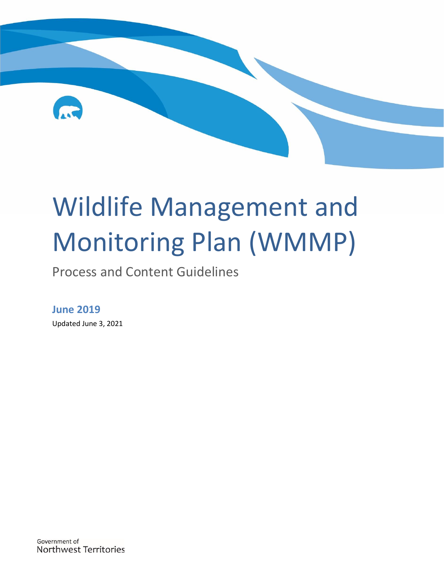

# Wildlife Management and Monitoring Plan (WMMP)

Process and Content Guidelines

## **June 2019**

Updated June 3, 2021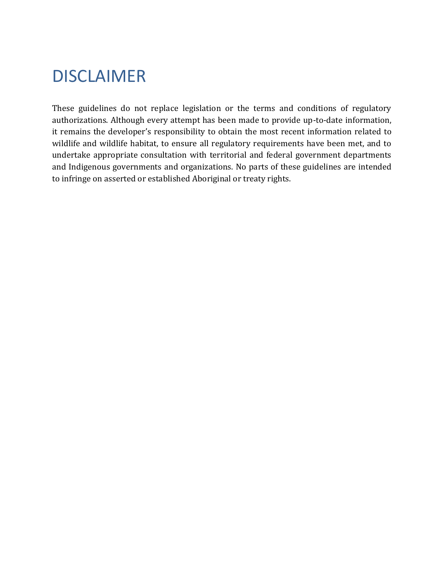# <span id="page-1-0"></span>DISCLAIMER

These guidelines do not replace legislation or the terms and conditions of regulatory authorizations. Although every attempt has been made to provide up-to-date information, it remains the developer's responsibility to obtain the most recent information related to wildlife and wildlife habitat, to ensure all regulatory requirements have been met, and to undertake appropriate consultation with territorial and federal government departments and Indigenous governments and organizations. No parts of these guidelines are intended to infringe on asserted or established Aboriginal or treaty rights.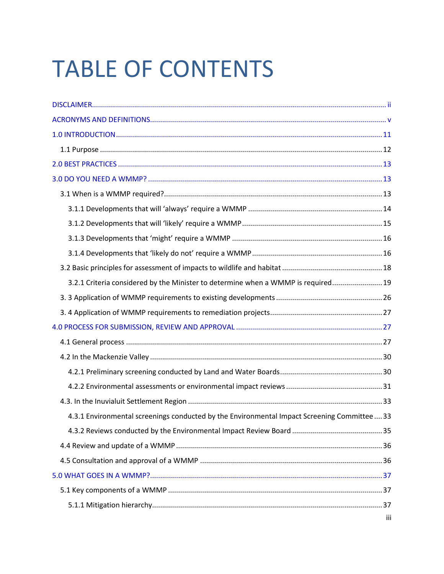# **TABLE OF CONTENTS**

| 3.2.1 Criteria considered by the Minister to determine when a WMMP is required 19          |     |
|--------------------------------------------------------------------------------------------|-----|
|                                                                                            |     |
|                                                                                            |     |
|                                                                                            |     |
|                                                                                            |     |
|                                                                                            |     |
|                                                                                            |     |
|                                                                                            |     |
|                                                                                            |     |
| 4.3.1 Environmental screenings conducted by the Environmental Impact Screening Committee33 |     |
|                                                                                            |     |
|                                                                                            |     |
|                                                                                            |     |
|                                                                                            |     |
|                                                                                            |     |
|                                                                                            |     |
|                                                                                            | iii |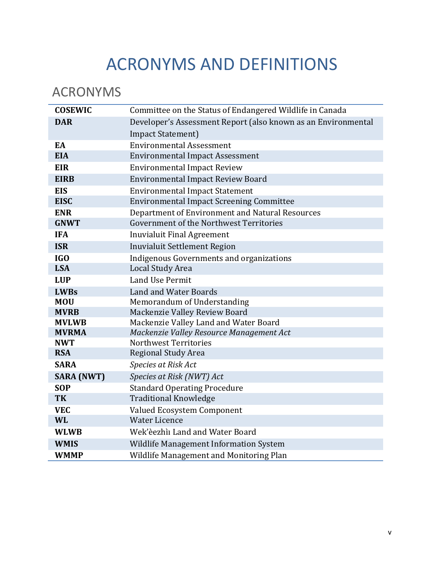# ACRONYMS AND DEFINITIONS

# <span id="page-4-0"></span>ACRONYMS

| <b>COSEWIC</b>    | Committee on the Status of Endangered Wildlife in Canada      |
|-------------------|---------------------------------------------------------------|
| <b>DAR</b>        | Developer's Assessment Report (also known as an Environmental |
|                   | Impact Statement)                                             |
| EA                | <b>Environmental Assessment</b>                               |
| <b>EIA</b>        | <b>Environmental Impact Assessment</b>                        |
| <b>EIR</b>        | <b>Environmental Impact Review</b>                            |
| <b>EIRB</b>       | <b>Environmental Impact Review Board</b>                      |
| <b>EIS</b>        | <b>Environmental Impact Statement</b>                         |
| <b>EISC</b>       | <b>Environmental Impact Screening Committee</b>               |
| <b>ENR</b>        | Department of Environment and Natural Resources               |
| <b>GNWT</b>       | Government of the Northwest Territories                       |
| <b>IFA</b>        | <b>Inuvialuit Final Agreement</b>                             |
| <b>ISR</b>        | <b>Inuvialuit Settlement Region</b>                           |
| <b>IGO</b>        | Indigenous Governments and organizations                      |
| <b>LSA</b>        | <b>Local Study Area</b>                                       |
| <b>LUP</b>        | <b>Land Use Permit</b>                                        |
| <b>LWBs</b>       | <b>Land and Water Boards</b>                                  |
| <b>MOU</b>        | Memorandum of Understanding                                   |
| <b>MVRB</b>       | Mackenzie Valley Review Board                                 |
| <b>MVLWB</b>      | Mackenzie Valley Land and Water Board                         |
| <b>MVRMA</b>      | Mackenzie Valley Resource Management Act                      |
| <b>NWT</b>        | Northwest Territories                                         |
| <b>RSA</b>        | <b>Regional Study Area</b>                                    |
| <b>SARA</b>       | Species at Risk Act                                           |
| <b>SARA (NWT)</b> | Species at Risk (NWT) Act                                     |
| <b>SOP</b>        | <b>Standard Operating Procedure</b>                           |
| <b>TK</b>         | <b>Traditional Knowledge</b>                                  |
| <b>VEC</b>        | Valued Ecosystem Component                                    |
| <b>WL</b>         | <b>Water Licence</b>                                          |
| <b>WLWB</b>       | Wek'èezhìi Land and Water Board                               |
| <b>WMIS</b>       | Wildlife Management Information System                        |
| <b>WMMP</b>       | Wildlife Management and Monitoring Plan                       |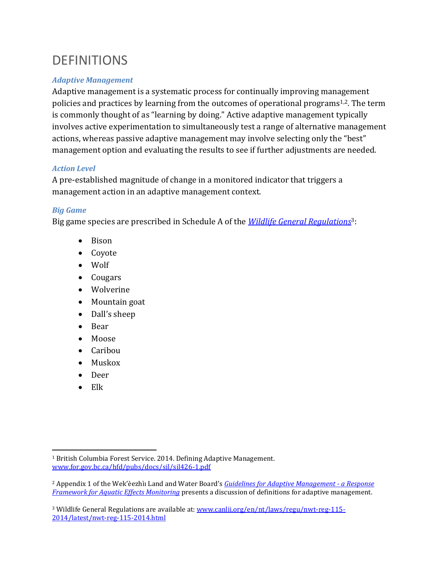# **DEFINITIONS**

### *Adaptive Management*

Adaptive management is a systematic process for continually improving management policies and practices by learning from the outcomes of operational programs1,2. The term is commonly thought of as "learning by doing." Active adaptive management typically involves active experimentation to simultaneously test a range of alternative management actions, whereas passive adaptive management may involve selecting only the "best" management option and evaluating the results to see if further adjustments are needed.

### *Action Level*

A pre-established magnitude of change in a monitored indicator that triggers a management action in an adaptive management context.

### *Big Game*

Big game species are prescribed in Schedule A of the *[Wildlife General Regulations](https://www.canlii.org/en/nt/laws/regu/nwt-reg-115-2014/latest/nwt-reg-115-2014.html)*3:

- Bison
- Coyote
- Wolf
- Cougars
- Wolverine
- Mountain goat
- Dall's sheep
- Bear
- Moose
- Caribou
- Muskox
- Deer
- Elk

<sup>&</sup>lt;sup>1</sup> British Columbia Forest Service. 2014. Defining Adaptive Management. [www.for.gov.bc.ca/hfd/pubs/docs/sil/sil426-1.pdf](http://www.for.gov.bc.ca/hfd/pubs/docs/sil/sil426-1.pdf)

<sup>2</sup> Appendix 1 of the Wek'èezhìı Land and Water Board's *[Guidelines for Adaptive Management -](https://wlwb.ca/sites/default/files/documents/Final-Draft-Response-Framework-for-Aquatic-Effects-Monitoring.pdf) a Response [Framework for Aquatic Effects Monitoring](https://wlwb.ca/sites/default/files/documents/Final-Draft-Response-Framework-for-Aquatic-Effects-Monitoring.pdf)* presents a discussion of definitions for adaptive management.

<sup>&</sup>lt;sup>3</sup> Wildlife General Regulations are available at: [www.canlii.org/en/nt/laws/regu/nwt-reg-115-](http://www.canlii.org/en/nt/laws/regu/nwt-reg-115-2014/latest/nwt-reg-115-2014.html) [2014/latest/nwt-reg-115-2014.html](http://www.canlii.org/en/nt/laws/regu/nwt-reg-115-2014/latest/nwt-reg-115-2014.html)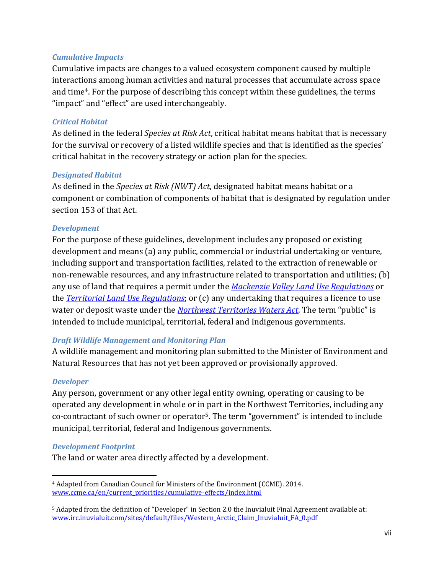#### *Cumulative Impacts*

Cumulative impacts are changes to a valued ecosystem component caused by multiple interactions among human activities and natural processes that accumulate across space and time4. For the purpose of describing this concept within these guidelines, the terms "impact" and "effect" are used interchangeably.

#### *Critical Habitat*

As defined in the federal *Species at Risk Act*, critical habitat means habitat that is necessary for the survival or recovery of a listed wildlife species and that is identified as the species' critical habitat in the recovery strategy or action plan for the species.

#### *Designated Habitat*

As defined in the *Species at Risk (NWT) Act*, designated habitat means habitat or a component or combination of components of habitat that is designated by regulation under section 153 of that Act.

#### *Development*

For the purpose of these guidelines, development includes any proposed or existing development and means (a) any public, commercial or industrial undertaking or venture, including support and transportation facilities, related to the extraction of renewable or non-renewable resources, and any infrastructure related to transportation and utilities; (b) any use of land that requires a permit under the *[Mackenzie Valley Land](http://laws-lois.justice.gc.ca/eng/regulations/SOR-98-429/FullText.html) Use Regulations* or the *[Territorial Land Use Regulations](http://laws-lois.justice.gc.ca/eng/regulations/C.R.C.,_c._1524/)*; or (c) any undertaking that requires a licence to use water or deposit waste under the *[Northwest Territories](http://laws-lois.justice.gc.ca/eng/acts/n-27.3/) Waters Act*. The term "public" is intended to include municipal, territorial, federal and Indigenous governments.

#### *Draft Wildlife Management and Monitoring Plan*

A wildlife management and monitoring plan submitted to the Minister of Environment and Natural Resources that has not yet been approved or provisionally approved.

#### *Developer*

Any person, government or any other legal entity owning, operating or causing to be operated any development in whole or in part in the Northwest Territories, including any co-contractant of such owner or operator5. The term "government" is intended to include municipal, territorial, federal and Indigenous governments.

#### *Development Footprint*

The land or water area directly affected by a development.

<sup>4</sup> Adapted from Canadian Council for Ministers of the Environment (CCME). 2014. [www.ccme.ca/en/current\\_priorities/cumulative-effects/index.html](http://www.ccme.ca/en/current_priorities/cumulative-effects/index.html)

<sup>5</sup> Adapted from the definition of "Developer" in Section 2.0 the Inuvialuit Final Agreement available at: [www.irc.inuvialuit.com/sites/default/files/Western\\_Arctic\\_Claim\\_Inuvialuit\\_FA\\_0.pdf](http://www.irc.inuvialuit.com/sites/default/files/Western_Arctic_Claim_Inuvialuit_FA_0.pdf)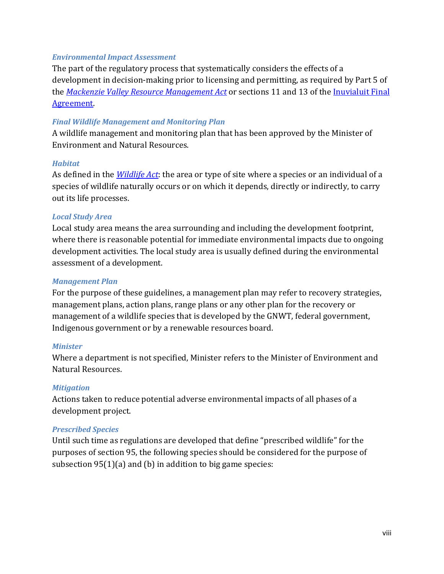#### *Environmental Impact Assessment*

The part of the regulatory process that systematically considers the effects of a development in decision-making prior to licensing and permitting, as required by Part 5 of the *[Mackenzie Valley Resource Management Act](http://laws-lois.justice.gc.ca/eng/acts/M-0.2/)* or sections 11 and 13 of the [Inuvialuit Final](http://www.irc.inuvialuit.com/sites/default/files/Western_Arctic_Claim_Inuvialuit_FA_0.pdf)  [Agreement.](http://www.irc.inuvialuit.com/sites/default/files/Western_Arctic_Claim_Inuvialuit_FA_0.pdf)

#### *Final Wildlife Management and Monitoring Plan*

A wildlife management and monitoring plan that has been approved by the Minister of Environment and Natural Resources.

#### *Habitat*

As defined in the *[Wildlife Act](https://www.justice.gov.nt.ca/en/files/legislation/wildlife/wildlife.a.pdf)*: the area or type of site where a species or an individual of a species of wildlife naturally occurs or on which it depends, directly or indirectly, to carry out its life processes.

#### *Local Study Area*

Local study area means the area surrounding and including the development footprint, where there is reasonable potential for immediate environmental impacts due to ongoing development activities. The local study area is usually defined during the environmental assessment of a development.

#### *Management Plan*

For the purpose of these guidelines, a management plan may refer to recovery strategies, management plans, action plans, range plans or any other plan for the recovery or management of a wildlife species that is developed by the GNWT, federal government, Indigenous government or by a renewable resources board.

#### *Minister*

Where a department is not specified, Minister refers to the Minister of Environment and Natural Resources.

#### *Mitigation*

Actions taken to reduce potential adverse environmental impacts of all phases of a development project.

#### *Prescribed Species*

Until such time as regulations are developed that define "prescribed wildlife" for the purposes of section 95, the following species should be considered for the purpose of subsection 95(1)(a) and (b) in addition to big game species: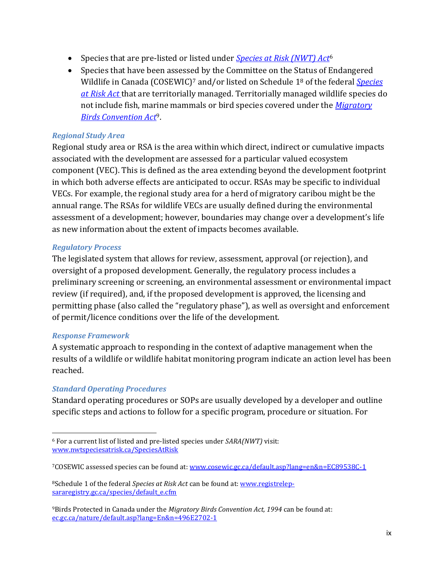- Species that are pre-listed or listed under *[Species at Risk \(NWT\) Act](http://laws-lois.justice.gc.ca/eng/acts/s-15.3/)*<sup>6</sup>
- Species that have been assessed by the Committee on the Status of Endangered Wildlife in Canada (COSEWIC)<sup>7</sup> and/or listed on Schedule 1<sup>8</sup> of the federal *[Species](http://laws-lois.justice.gc.ca/eng/acts/s-15.3/)  [at Risk Act](http://laws-lois.justice.gc.ca/eng/acts/s-15.3/)* that are territorially managed. Territorially managed wildlife species do not include fish, marine mammals or bird species covered under the *[Migratory](http://laws-lois.justice.gc.ca/eng/acts/m-7.01/)  [Birds Convention Act](http://laws-lois.justice.gc.ca/eng/acts/m-7.01/)*9.

#### *Regional Study Area*

Regional study area or RSA is the area within which direct, indirect or cumulative impacts associated with the development are assessed for a particular valued ecosystem component (VEC). This is defined as the area extending beyond the development footprint in which both adverse effects are anticipated to occur. RSAs may be specific to individual VECs. For example, the regional study area for a herd of migratory caribou might be the annual range. The RSAs for wildlife VECs are usually defined during the environmental assessment of a development; however, boundaries may change over a development's life as new information about the extent of impacts becomes available.

#### *Regulatory Process*

The legislated system that allows for review, assessment, approval (or rejection), and oversight of a proposed development. Generally, the regulatory process includes a preliminary screening or screening, an environmental assessment or environmental impact review (if required), and, if the proposed development is approved, the licensing and permitting phase (also called the "regulatory phase"), as well as oversight and enforcement of permit/licence conditions over the life of the development.

#### *Response Framework*

A systematic approach to responding in the context of adaptive management when the results of a wildlife or wildlife habitat monitoring program indicate an action level has been reached.

#### *Standard Operating Procedures*

Standard operating procedures or SOPs are usually developed by a developer and outline specific steps and actions to follow for a specific program, procedure or situation. For

<sup>6</sup> For a current list of listed and pre-listed species under *SARA(NWT)* visit: [www.nwtspeciesatrisk.ca/SpeciesAtRisk](http://www.nwtspeciesatrisk.ca/SpeciesAtRisk)

<sup>7</sup>COSEWIC assessed species can be found at: [www.cosewic.gc.ca/default.asp?lang=en&n=EC89538C-1](http://www.cosewic.gc.ca/default.asp?lang=en&n=EC89538C-1)

<sup>8</sup>Schedule 1 of the federal *Species at Risk Act* can be found at: [www.registrelep](http://www.registrelep-sararegistry.gc.ca/species/default_e.cfm)[sararegistry.gc.ca/species/default\\_e.cfm](http://www.registrelep-sararegistry.gc.ca/species/default_e.cfm)

<sup>9</sup>Birds Protected in Canada under the *Migratory Birds Convention Act, 1994* can be found at: [ec.gc.ca/nature/default.asp?lang=En&n=496E2702-1](https://ec.gc.ca/nature/default.asp?lang=En&n=496E2702-1)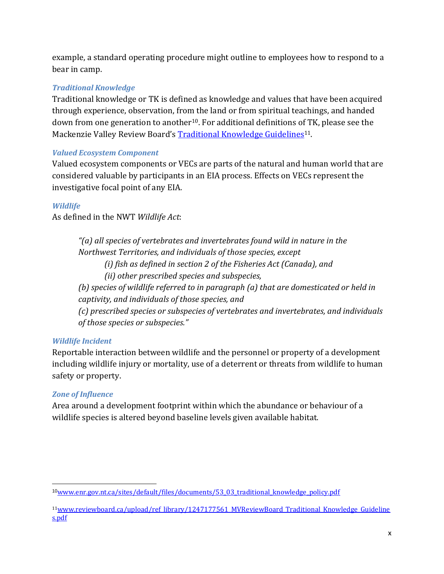example, a standard operating procedure might outline to employees how to respond to a bear in camp.

### *Traditional Knowledge*

Traditional knowledge or TK is defined as knowledge and values that have been acquired through experience, observation, from the land or from spiritual teachings, and handed down from one generation to another<sup>10</sup>. For additional definitions of TK, please see the Mackenzie Valley Review Board's [Traditional Knowledge Guidelines](http://www.reviewboard.ca/upload/ref_library/1247177561_MVReviewBoard_Traditional_Knowledge_Guidelines.pdf)<sup>11</sup>.

#### *Valued Ecosystem Component*

Valued ecosystem components or VECs are parts of the natural and human world that are considered valuable by participants in an EIA process. Effects on VECs represent the investigative focal point of any EIA.

### *Wildlife*

As defined in the NWT *Wildlife Act*:

*"(a) all species of vertebrates and invertebrates found wild in nature in the Northwest Territories, and individuals of those species, except (i) fish as defined in section 2 of the Fisheries Act (Canada), and (ii) other prescribed species and subspecies, (b) species of wildlife referred to in paragraph (a) that are domesticated or held in captivity, and individuals of those species, and (c) prescribed species or subspecies of vertebrates and invertebrates, and individuals of those species or subspecies."*

#### *Wildlife Incident*

Reportable interaction between wildlife and the personnel or property of a development including wildlife injury or mortality, use of a deterrent or threats from wildlife to human safety or property.

#### *Zone of Influence*

Area around a development footprint within which the abundance or behaviour of a wildlife species is altered beyond baseline levels given available habitat.

<sup>10</sup>[www.enr.gov.nt.ca/sites/default/files/documents/53\\_03\\_traditional\\_knowledge\\_policy.pdf](http://www.enr.gov.nt.ca/sites/default/files/documents/53_03_traditional_knowledge_policy.pdf)

<sup>&</sup>lt;sup>11</sup>[www.reviewboard.ca/upload/ref\\_library/1247177561\\_MVReviewBoard\\_Traditional\\_Knowledge\\_Guideline](http://www.reviewboard.ca/upload/ref_library/1247177561_MVReviewBoard_Traditional_Knowledge_Guidelines.pdf) [s.pdf](http://www.reviewboard.ca/upload/ref_library/1247177561_MVReviewBoard_Traditional_Knowledge_Guidelines.pdf)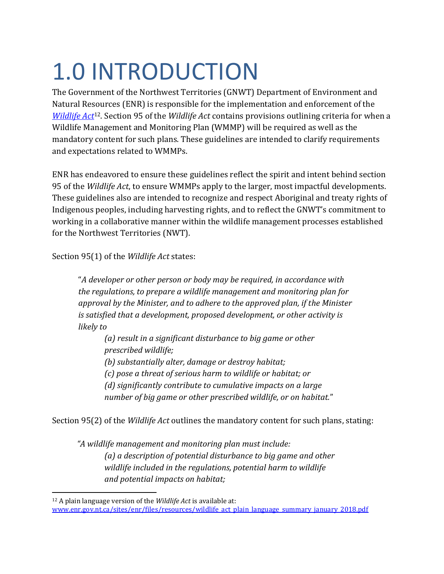# <span id="page-10-0"></span>1.0 INTRODUCTION

The Government of the Northwest Territories (GNWT) Department of Environment and Natural Resources (ENR) is responsible for the implementation and enforcement of the *[Wildlife Act](https://www.justice.gov.nt.ca/en/files/legislation/wildlife/wildlife.a.pdf)*12. Section 95 of the *Wildlife Act* contains provisions outlining criteria for when a Wildlife Management and Monitoring Plan (WMMP) will be required as well as the mandatory content for such plans. These guidelines are intended to clarify requirements and expectations related to WMMPs.

ENR has endeavored to ensure these guidelines reflect the spirit and intent behind section 95 of the *Wildlife Act*, to ensure WMMPs apply to the larger, most impactful developments. These guidelines also are intended to recognize and respect Aboriginal and treaty rights of Indigenous peoples, including harvesting rights, and to reflect the GNWT's commitment to working in a collaborative manner within the wildlife management processes established for the Northwest Territories (NWT).

Section 95(1) of the *Wildlife Act* states:

"*A developer or other person or body may be required, in accordance with the regulations, to prepare a wildlife management and monitoring plan for approval by the Minister, and to adhere to the approved plan, if the Minister is satisfied that a development, proposed development, or other activity is likely to*

*(a) result in a significant disturbance to big game or other prescribed wildlife; (b) substantially alter, damage or destroy habitat; (c) pose a threat of serious harm to wildlife or habitat; or (d) significantly contribute to cumulative impacts on a large number of big game or other prescribed wildlife, or on habitat.*"

Section 95(2) of the *Wildlife Act* outlines the mandatory content for such plans, stating:

*"A wildlife management and monitoring plan must include: (a) a description of potential disturbance to big game and other wildlife included in the regulations, potential harm to wildlife and potential impacts on habitat;*

<sup>12</sup> A plain language version of the *Wildlife Act* is available at: [www.enr.gov.nt.ca/sites/enr/files/resources/wildlife\\_act\\_plain\\_language\\_summary\\_january\\_2018.pdf](http://www.enr.gov.nt.ca/sites/enr/files/resources/wildlife_act_plain_language_summary_january_2018.pdf)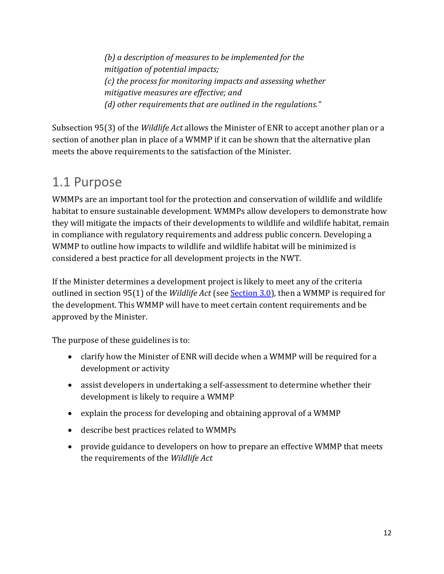*(b) a description of measures to be implemented for the mitigation of potential impacts; (c) the process for monitoring impacts and assessing whether mitigative measures are effective; and (d) other requirements that are outlined in the regulations."*

Subsection 95(3) of the *Wildlife Act* allows the Minister of ENR to accept another plan or a section of another plan in place of a WMMP if it can be shown that the alternative plan meets the above requirements to the satisfaction of the Minister.

# <span id="page-11-0"></span>1.1 Purpose

WMMPs are an important tool for the protection and conservation of wildlife and wildlife habitat to ensure sustainable development. WMMPs allow developers to demonstrate how they will mitigate the impacts of their developments to wildlife and wildlife habitat, remain in compliance with regulatory requirements and address public concern. Developing a WMMP to outline how impacts to wildlife and wildlife habitat will be minimized is considered a best practice for all development projects in the NWT.

If the Minister determines a development project is likely to meet any of the criteria outlined in section 95(1) of the *Wildlife Act* (see [Section 3.0\)](#page-12-1), then a WMMP is required for the development. This WMMP will have to meet certain content requirements and be approved by the Minister.

The purpose of these guidelines is to:

- clarify how the Minister of ENR will decide when a WMMP will be required for a development or activity
- assist developers in undertaking a self-assessment to determine whether their development is likely to require a WMMP
- explain the process for developing and obtaining approval of a WMMP
- describe best practices related to WMMPs
- provide guidance to developers on how to prepare an effective WMMP that meets the requirements of the *Wildlife Act*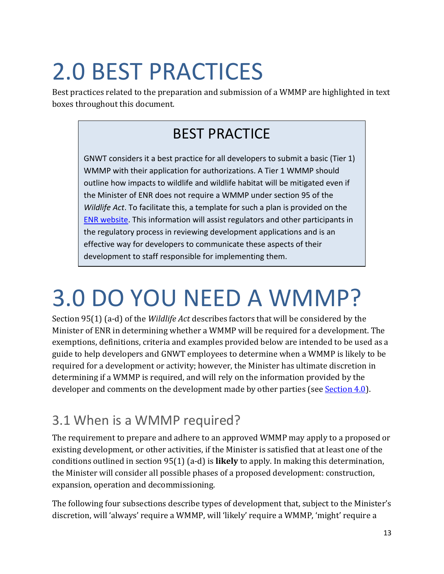# <span id="page-12-0"></span>2.0 BEST PRACTICES

Best practices related to the preparation and submission of a WMMP are highlighted in text boxes throughout this document.

# BEST PRACTICE

GNWT considers it a best practice for all developers to submit a basic (Tier 1) WMMP with their application for authorizations. A Tier 1 WMMP should outline how impacts to wildlife and wildlife habitat will be mitigated even if the Minister of ENR does not require a WMMP under section 95 of the *Wildlife Act*. To facilitate this, a template for such a plan is provided on the [ENR website.](https://www.enr.gov.nt.ca/en/services/wildlife-management-and-monitoring-plans) This information will assist regulators and other participants in the regulatory process in reviewing development applications and is an effective way for developers to communicate these aspects of their development to staff responsible for implementing them.

# <span id="page-12-1"></span>3.0 DO YOU NEED A WMMP?

Section 95(1) (a-d) of the *Wildlife Act* describes factors that will be considered by the Minister of ENR in determining whether a WMMP will be required for a development. The exemptions, definitions, criteria and examples provided below are intended to be used as a guide to help developers and GNWT employees to determine when a WMMP is likely to be required for a development or activity; however, the Minister has ultimate discretion in determining if a WMMP is required, and will rely on the information provided by the developer and comments on the development made by other parties (see [Section 4.0\)](#page-26-1).

# <span id="page-12-2"></span>3.1 When is a WMMP required?

The requirement to prepare and adhere to an approved WMMP may apply to a proposed or existing development, or other activities, if the Minister is satisfied that at least one of the conditions outlined in section 95(1) (a-d) is **likely** to apply. In making this determination, the Minister will consider all possible phases of a proposed development: construction, expansion, operation and decommissioning.

The following four subsections describe types of development that, subject to the Minister's discretion, will 'always' require a WMMP, will 'likely' require a WMMP, 'might' require a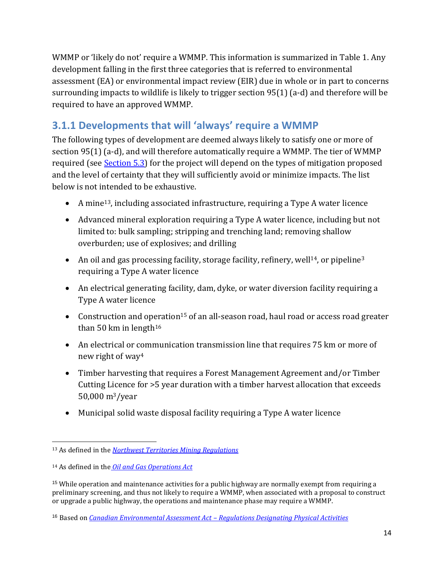WMMP or 'likely do not' require a WMMP. This information is summarized in Table 1. Any development falling in the first three categories that is referred to environmental assessment (EA) or environmental impact review (EIR) due in whole or in part to concerns surrounding impacts to wildlife is likely to trigger section 95(1) (a-d) and therefore will be required to have an approved WMMP.

# <span id="page-13-0"></span>**3.1.1 Developments that will 'always' require a WMMP**

The following types of development are deemed always likely to satisfy one or more of section 95(1) (a-d), and will therefore automatically require a WMMP. The tier of WMMP required (see [Section 5.3\)](#page-39-0) for the project will depend on the types of mitigation proposed and the level of certainty that they will sufficiently avoid or minimize impacts. The list below is not intended to be exhaustive.

- A mine13, including associated infrastructure, requiring a Type A water licence
- Advanced mineral exploration requiring a Type A water licence, including but not limited to: bulk sampling; stripping and trenching land; removing shallow overburden; use of explosives; and drilling
- An oil and gas processing facility, storage facility, refinery, well<sup>14</sup>, or pipeline<sup>3</sup> requiring a Type A water licence
- An electrical generating facility, dam, dyke, or water diversion facility requiring a Type A water licence
- Construction and operation<sup>15</sup> of an all-season road, haul road or access road greater than 50 km in length $16$
- An electrical or communication transmission line that requires 75 km or more of new right of way<sup>4</sup>
- Timber harvesting that requires a Forest Management Agreement and/or Timber Cutting Licence for >5 year duration with a timber harvest allocation that exceeds 50,000 m3/year
- Municipal solid waste disposal facility requiring a Type A water licence

<sup>13</sup> As defined in the *[Northwest Territories Mining Regulations](http://laws-lois.justice.gc.ca/eng/regulations/SOR-2014-68/)*

<sup>14</sup> As defined in the *[Oil and Gas Operations Act](http://www.justice.gov.nt.ca/en/files/legislation/oil-and-gas-operations/oil-and-gas-operations.a.pdf)*

<sup>15</sup> While operation and maintenance activities for a public highway are normally exempt from requiring a preliminary screening, and thus not likely to require a WMMP, when associated with a proposal to construct or upgrade a public highway, the operations and maintenance phase may require a WMMP.

<sup>16</sup> Based on *Canadian Environmental Assessment Act – [Regulations Designating Physical Activities](https://laws-lois.justice.gc.ca/PDF/SOR-2012-147.pdf)*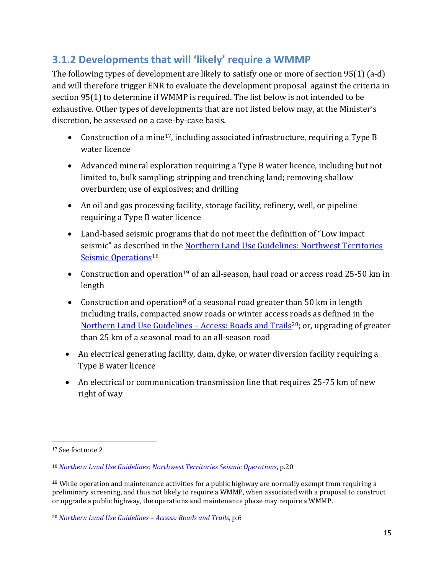## <span id="page-14-0"></span>**3.1.2 Developments that will 'likely' require a WMMP**

The following types of development are likely to satisfy one or more of section 95(1) (a-d) and will therefore trigger ENR to evaluate the development proposal against the criteria in section 95(1) to determine if WMMP is required. The list below is not intended to be exhaustive. Other types of developments that are not listed below may, at the Minister's discretion, be assessed on a case-by-case basis.

- Construction of a mine<sup>17</sup>, including associated infrastructure, requiring a Type B water licence
- Advanced mineral exploration requiring a Type B water licence, including but not limited to, bulk sampling; stripping and trenching land; removing shallow overburden; use of explosives; and drilling
- An oil and gas processing facility, storage facility, refinery, well, or pipeline requiring a Type B water licence
- Land-based seismic programs that do not meet the definition of "Low impact seismic" as described in the [Northern Land Use Guidelines: Northwest Territories](http://www.assembly.gov.nt.ca/sites/default/files/12-06-13td37-173.pdf)  [Seismic Operations](http://www.assembly.gov.nt.ca/sites/default/files/12-06-13td37-173.pdf)<sup>18</sup>
- Construction and operation<sup>19</sup> of an all-season, haul road or access road 25-50 km in length
- Construction and operation<sup>8</sup> of a seasonal road greater than 50 km in length including trails, compacted snow roads or winter access roads as defined in the [Northern Land Use Guidelines](http://www.lands.gov.nt.ca/sites/lands/files/resources/nlug_roadstrails_2015_english_16_sept_2015.pdf) – Access: Roads and Trails<sup>20</sup>; or, upgrading of greater than 25 km of a seasonal road to an all-season road
- An electrical generating facility, dam, dyke, or water diversion facility requiring a Type B water licence
- An electrical or communication transmission line that requires 25-75 km of new right of way

<sup>17</sup> See footnote 2

<sup>18</sup> *[Northern Land Use Guidelines: Northwest Territories Seismic Operations](https://www.lands.gov.nt.ca/sites/lands/files/resources/nlug_seismic_2015_english_-_16_sept_2015.pdf)*, p.20

 $19$  While operation and maintenance activities for a public highway are normally exempt from requiring a preliminary screening, and thus not likely to require a WMMP, when associated with a proposal to construct or upgrade a public highway, the operations and maintenance phase may require a WMMP.

<sup>20</sup> *[Northern Land Use Guidelines](http://www.lands.gov.nt.ca/sites/lands/files/resources/nlug_roadstrails_2015_english_16_sept_2015.pdf) – Access: Roads and Trails,* p.6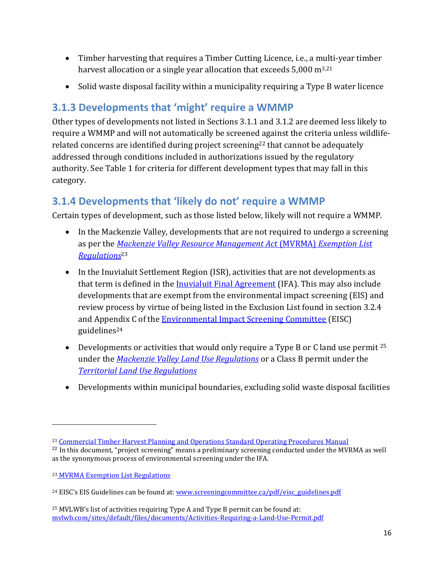- Timber harvesting that requires a Timber Cutting Licence, i.e., a multi-year timber harvest allocation or a single year allocation that exceeds  $5,000 \text{ m}^{3,21}$
- Solid waste disposal facility within a municipality requiring a Type B water licence

# <span id="page-15-0"></span>**3.1.3 Developments that 'might' require a WMMP**

Other types of developments not listed in Sections 3.1.1 and 3.1.2 are deemed less likely to require a WMMP and will not automatically be screened against the criteria unless wildliferelated concerns are identified during project screening<sup>22</sup> that cannot be adequately addressed through conditions included in authorizations issued by the regulatory authority. See Table 1 for criteria for different development types that may fall in this category.

# <span id="page-15-1"></span>**3.1.4 Developments that 'likely do not' require a WMMP**

Certain types of development, such as those listed below, likely will not require a WMMP.

- In the Mackenzie Valley, developments that are not required to undergo a screening as per the *[Mackenzie Valley Resource Management Act](http://laws-lois.justice.gc.ca/eng/acts/M-0.2/)* (MVRMA) *Exemption List [Regulations](http://laws-lois.justice.gc.ca/eng/acts/M-0.2/)*<sup>23</sup>
- In the Inuvialuit Settlement Region (ISR), activities that are not developments as that term is defined in the [Inuvialuit Final Agreement](http://www.irc.inuvialuit.com/sites/default/files/Western_Arctic_Claim_Inuvialuit_FA_0.pdf) (IFA). This may also include developments that are exempt from the environmental impact screening (EIS) and review process by virtue of being listed in the Exclusion List found in section 3.2.4 and Appendix C of the **Environmental Impact Screening Committee** (EISC) guidelines<sup>24</sup>
- Developments or activities that would only require a Type B or C land use permit  $25$ under the *[Mackenzie Valley Land Use Regulations](http://laws-lois.justice.gc.ca/eng/regulations/SOR-98-429/)* or a Class B permit under the *[Territorial Land Use Regulations](http://laws-lois.justice.gc.ca/eng/regulations/C.R.C.,_c._1524/)*
- Developments within municipal boundaries, excluding solid waste disposal facilities

<sup>21</sup> [Commercial Timber Harvest Planning and Operations Standard Operating Procedures Manual](http://www.enr.gov.nt.ca/sites/enr/files/reports/commercial_timber_procedures_manual.pdf) 

 $^{22}$  In this document, "project screening" means a preliminary screening conducted under the MVRMA as well as the synonymous process of environmental screening under the IFA.

<sup>23</sup> [MVRMA Exemption List Regulations](http://laws-lois.justice.gc.ca/eng/regulations/sor-99-13/FullText.html)

<sup>&</sup>lt;sup>24</sup> EISC's EIS Guidelines can be found at: [www.screeningcommittee.ca/pdf/eisc\\_guidelines.pdf](http://www.screeningcommittee.ca/pdf/eisc_guidelines.pdf)

 $25$  MVLWB's list of activities requiring Type A and Type B permit can be found at: [mvlwb.com/sites/default/files/documents/Activities-Requiring-a-Land-Use-Permit.pdf](https://mvlwb.com/sites/default/files/documents/Activities-Requiring-a-Land-Use-Permit.pdf)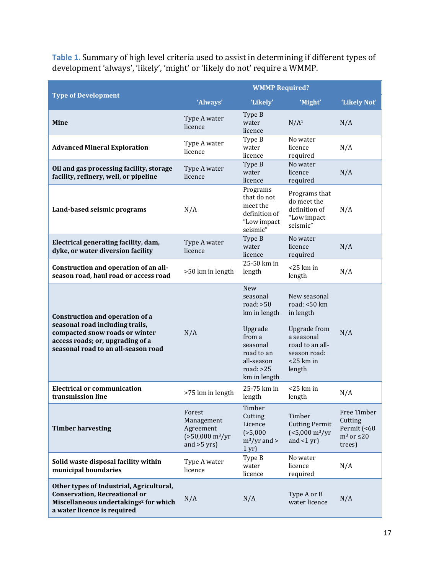**Table 1.** Summary of high level criteria used to assist in determining if different types of development 'always', 'likely', 'might' or 'likely do not' require a WMMP.

|                                                                                                                                                                                 | <b>WMMP Required?</b>                                                                   |                                                                                                                                                   |                                                                                                                                             |                                                                       |  |
|---------------------------------------------------------------------------------------------------------------------------------------------------------------------------------|-----------------------------------------------------------------------------------------|---------------------------------------------------------------------------------------------------------------------------------------------------|---------------------------------------------------------------------------------------------------------------------------------------------|-----------------------------------------------------------------------|--|
| <b>Type of Development</b>                                                                                                                                                      | 'Always'                                                                                | 'Likely'                                                                                                                                          | 'Might'                                                                                                                                     | 'Likely Not'                                                          |  |
| <b>Mine</b>                                                                                                                                                                     | Type A water<br>licence                                                                 | Type B<br>water<br>licence                                                                                                                        | N/A <sup>1</sup>                                                                                                                            | N/A                                                                   |  |
| <b>Advanced Mineral Exploration</b>                                                                                                                                             | Type A water<br>licence                                                                 | Type B<br>water<br>licence                                                                                                                        | No water<br>licence<br>required                                                                                                             | N/A                                                                   |  |
| Oil and gas processing facility, storage<br>facility, refinery, well, or pipeline                                                                                               | Type A water<br>licence                                                                 | Type B<br>water<br>licence                                                                                                                        | No water<br>licence<br>required                                                                                                             | N/A                                                                   |  |
| Land-based seismic programs                                                                                                                                                     | N/A                                                                                     | Programs<br>that do not<br>meet the<br>definition of<br>"Low impact<br>seismic"                                                                   | Programs that<br>do meet the<br>definition of<br>"Low impact<br>seismic"                                                                    | N/A                                                                   |  |
| Electrical generating facility, dam,<br>dyke, or water diversion facility                                                                                                       | Type A water<br>licence                                                                 | Type B<br>water<br>licence                                                                                                                        | No water<br>licence<br>required                                                                                                             | N/A                                                                   |  |
| Construction and operation of an all-<br>season road, haul road or access road                                                                                                  | >50 km in length                                                                        | 25-50 km in<br>length                                                                                                                             | $<$ 25 km in<br>length                                                                                                                      | N/A                                                                   |  |
| Construction and operation of a<br>seasonal road including trails,<br>compacted snow roads or winter<br>access roads; or, upgrading of a<br>seasonal road to an all-season road | N/A                                                                                     | <b>New</b><br>seasonal<br>road: $>50$<br>km in length<br>Upgrade<br>from a<br>seasonal<br>road to an<br>all-season<br>road: $>25$<br>km in length | New seasonal<br>road: <50 km<br>in length<br><b>Upgrade</b> from<br>a seasonal<br>road to an all-<br>season road:<br>$<$ 25 km in<br>length | N/A                                                                   |  |
| <b>Electrical or communication</b><br>transmission line                                                                                                                         | >75 km in length                                                                        | 25-75 km in<br>length                                                                                                                             | $<$ 25 km in<br>length                                                                                                                      | N/A                                                                   |  |
| <b>Timber harvesting</b>                                                                                                                                                        | Forest<br>Management<br>Agreement<br>$(>50,000 \text{ m}^3/\text{yr})$<br>and $>5$ yrs) | Timber<br>Cutting<br>Licence<br>(>5,000<br>$\rm m^3/\rm yr$ and $>$<br>1 <sub>yr</sub>                                                            | Timber<br><b>Cutting Permit</b><br>$(<5,000 \text{ m}^3/\text{yr})$<br>and $<1$ yr)                                                         | Free Timber<br>Cutting<br>Permit (<60<br>$m^3$ or $\leq$ 20<br>trees) |  |
| Solid waste disposal facility within<br>municipal boundaries                                                                                                                    | Type A water<br>licence                                                                 | Type B<br>water<br>licence                                                                                                                        | No water<br>licence<br>required                                                                                                             | N/A                                                                   |  |
| Other types of Industrial, Agricultural,<br><b>Conservation, Recreational or</b><br>Miscellaneous undertakings <sup>2</sup> for which<br>a water licence is required            | N/A                                                                                     | N/A                                                                                                                                               | Type A or B<br>water licence                                                                                                                | N/A                                                                   |  |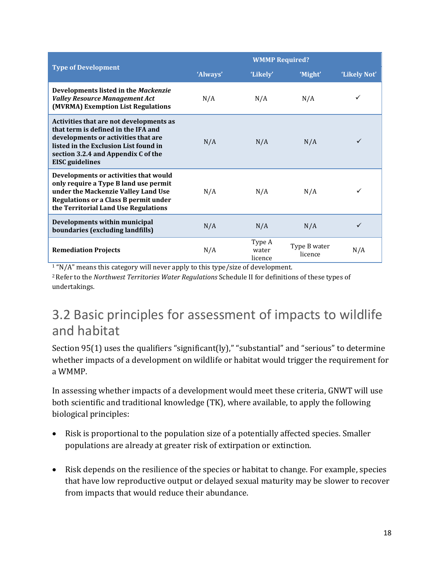|                                                                                                                                                                                                                          | <b>WMMP Required?</b> |                            |                         |              |
|--------------------------------------------------------------------------------------------------------------------------------------------------------------------------------------------------------------------------|-----------------------|----------------------------|-------------------------|--------------|
| <b>Type of Development</b>                                                                                                                                                                                               | 'Always'              | 'Likely'                   | 'Might'                 | 'Likely Not' |
| Developments listed in the Mackenzie<br><b>Valley Resource Management Act</b><br>(MVRMA) Exemption List Regulations                                                                                                      | N/A                   | N/A                        | N/A                     |              |
| Activities that are not developments as<br>that term is defined in the IFA and<br>developments or activities that are<br>listed in the Exclusion List found in<br>section 3.2.4 and Appendix C of the<br>EISC guidelines | N/A                   | N/A                        | N/A                     | ✓            |
| Developments or activities that would<br>only require a Type B land use permit<br>under the Mackenzie Valley Land Use<br><b>Regulations or a Class B permit under</b><br>the Territorial Land Use Regulations            | N/A                   | N/A                        | N/A                     | ✓            |
| Developments within municipal<br>boundaries (excluding landfills)                                                                                                                                                        | N/A                   | N/A                        | N/A                     | ✓            |
| <b>Remediation Projects</b>                                                                                                                                                                                              | N/A                   | Type A<br>water<br>licence | Type B water<br>licence | N/A          |

<sup>1</sup> "N/A" means this category will never apply to this type/size of development.

<sup>2</sup>Refer to the *Northwest Territories Water Regulations* Schedule II for definitions of these types of undertakings.

# <span id="page-17-0"></span>3.2 Basic principles for assessment of impacts to wildlife and habitat

Section 95(1) uses the qualifiers "significant(ly)," "substantial" and "serious" to determine whether impacts of a development on wildlife or habitat would trigger the requirement for a WMMP.

In assessing whether impacts of a development would meet these criteria, GNWT will use both scientific and traditional knowledge (TK), where available, to apply the following biological principles:

- Risk is proportional to the population size of a potentially affected species. Smaller populations are already at greater risk of extirpation or extinction.
- Risk depends on the resilience of the species or habitat to change. For example, species that have low reproductive output or delayed sexual maturity may be slower to recover from impacts that would reduce their abundance.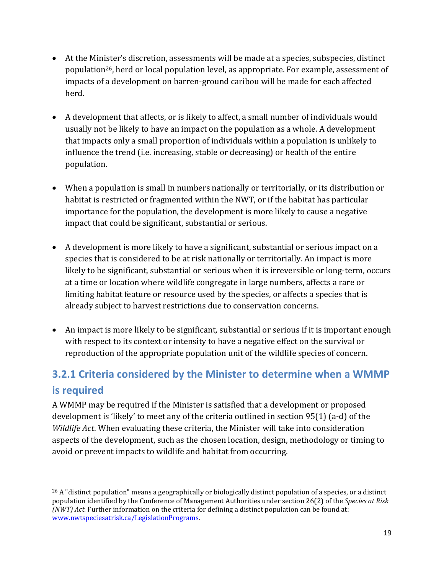- At the Minister's discretion, assessments will be made at a species, subspecies, distinct population26, herd or local population level, as appropriate. For example, assessment of impacts of a development on barren-ground caribou will be made for each affected herd.
- A development that affects, or is likely to affect, a small number of individuals would usually not be likely to have an impact on the population as a whole. A development that impacts only a small proportion of individuals within a population is unlikely to influence the trend (i.e. increasing, stable or decreasing) or health of the entire population.
- When a population is small in numbers nationally or territorially, or its distribution or habitat is restricted or fragmented within the NWT, or if the habitat has particular importance for the population, the development is more likely to cause a negative impact that could be significant, substantial or serious.
- A development is more likely to have a significant, substantial or serious impact on a species that is considered to be at risk nationally or territorially. An impact is more likely to be significant, substantial or serious when it is irreversible or long-term, occurs at a time or location where wildlife congregate in large numbers, affects a rare or limiting habitat feature or resource used by the species, or affects a species that is already subject to harvest restrictions due to conservation concerns.
- An impact is more likely to be significant, substantial or serious if it is important enough with respect to its context or intensity to have a negative effect on the survival or reproduction of the appropriate population unit of the wildlife species of concern.

# <span id="page-18-0"></span>**3.2.1 Criteria considered by the Minister to determine when a WMMP is required**

A WMMP may be required if the Minister is satisfied that a development or proposed development is 'likely' to meet any of the criteria outlined in section 95(1) (a-d) of the *Wildlife Act*. When evaluating these criteria, the Minister will take into consideration aspects of the development, such as the chosen location, design, methodology or timing to avoid or prevent impacts to wildlife and habitat from occurring.

 $^{26}$  A "distinct population" means a geographically or biologically distinct population of a species, or a distinct population identified by the Conference of Management Authorities under section 26(2) of the *Species at Risk (NWT) Act*. Further information on the criteria for defining a distinct population can be found at: [www.nwtspeciesatrisk.ca/LegislationPrograms.](http://www.nwtspeciesatrisk.ca/LegislationPrograms)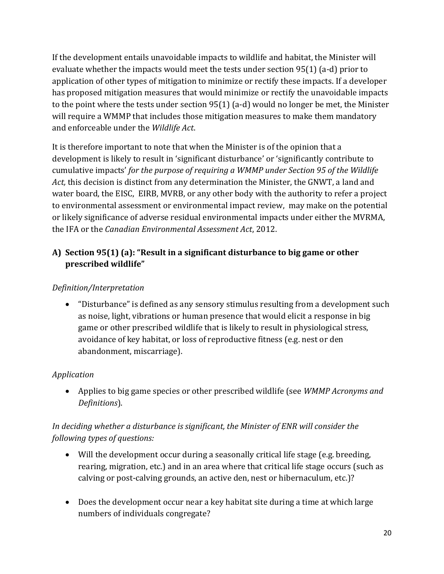If the development entails unavoidable impacts to wildlife and habitat, the Minister will evaluate whether the impacts would meet the tests under section 95(1) (a-d) prior to application of other types of mitigation to minimize or rectify these impacts. If a developer has proposed mitigation measures that would minimize or rectify the unavoidable impacts to the point where the tests under section 95(1) (a-d) would no longer be met, the Minister will require a WMMP that includes those mitigation measures to make them mandatory and enforceable under the *Wildlife Act*.

It is therefore important to note that when the Minister is of the opinion that a development is likely to result in 'significant disturbance' or 'significantly contribute to cumulative impacts' *for the purpose of requiring a WMMP under Section 95 of the Wildlife Act,* this decision is distinct from any determination the Minister, the GNWT, a land and water board, the EISC, EIRB, MVRB, or any other body with the authority to refer a project to environmental assessment or environmental impact review, may make on the potential or likely significance of adverse residual environmental impacts under either the MVRMA, the IFA or the *Canadian Environmental Assessment Act*, 2012.

## **A) Section 95(1) (a): "Result in a significant disturbance to big game or other prescribed wildlife"**

## *Definition/Interpretation*

• "Disturbance" is defined as any sensory stimulus resulting from a development such as noise, light, vibrations or human presence that would elicit a response in big game or other prescribed wildlife that is likely to result in physiological stress, avoidance of key habitat, or loss of reproductive fitness (e.g. nest or den abandonment, miscarriage).

## *Application*

• Applies to big game species or other prescribed wildlife (see *WMMP Acronyms and Definitions*).

## *In deciding whether a disturbance is significant, the Minister of ENR will consider the following types of questions:*

- Will the development occur during a seasonally critical life stage (e.g. breeding, rearing, migration, etc.) and in an area where that critical life stage occurs (such as calving or post-calving grounds, an active den, nest or hibernaculum, etc.)?
- Does the development occur near a key habitat site during a time at which large numbers of individuals congregate?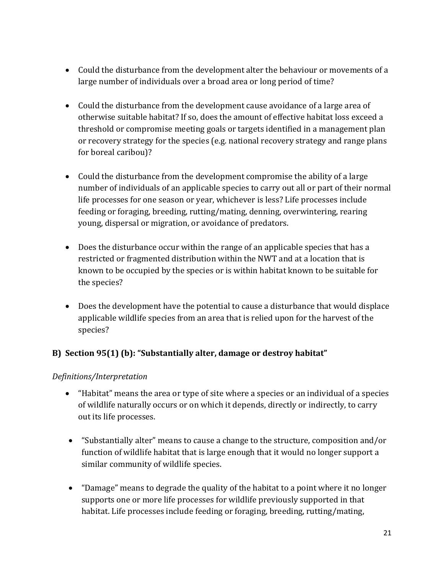- Could the disturbance from the development alter the behaviour or movements of a large number of individuals over a broad area or long period of time?
- Could the disturbance from the development cause avoidance of a large area of otherwise suitable habitat? If so, does the amount of effective habitat loss exceed a threshold or compromise meeting goals or targets identified in a management plan or recovery strategy for the species (e.g. national recovery strategy and range plans for boreal caribou)?
- Could the disturbance from the development compromise the ability of a large number of individuals of an applicable species to carry out all or part of their normal life processes for one season or year, whichever is less? Life processes include feeding or foraging, breeding, rutting/mating, denning, overwintering, rearing young, dispersal or migration, or avoidance of predators.
- Does the disturbance occur within the range of an applicable species that has a restricted or fragmented distribution within the NWT and at a location that is known to be occupied by the species or is within habitat known to be suitable for the species?
- Does the development have the potential to cause a disturbance that would displace applicable wildlife species from an area that is relied upon for the harvest of the species?

## **B) Section 95(1) (b): "Substantially alter, damage or destroy habitat"**

## *Definitions/Interpretation*

- "Habitat" means the area or type of site where a species or an individual of a species of wildlife naturally occurs or on which it depends, directly or indirectly, to carry out its life processes.
- "Substantially alter" means to cause a change to the structure, composition and/or function of wildlife habitat that is large enough that it would no longer support a similar community of wildlife species.
- "Damage" means to degrade the quality of the habitat to a point where it no longer supports one or more life processes for wildlife previously supported in that habitat. Life processes include feeding or foraging, breeding, rutting/mating,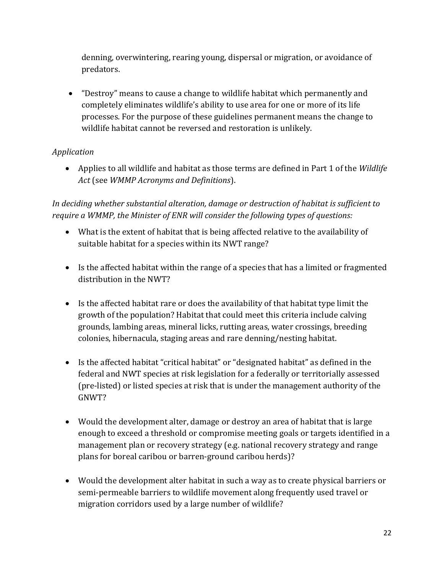denning, overwintering, rearing young, dispersal or migration, or avoidance of predators.

• "Destroy" means to cause a change to wildlife habitat which permanently and completely eliminates wildlife's ability to use area for one or more of its life processes. For the purpose of these guidelines permanent means the change to wildlife habitat cannot be reversed and restoration is unlikely.

## *Application*

• Applies to all wildlife and habitat as those terms are defined in Part 1 of the *Wildlife Act* (see *WMMP Acronyms and Definitions*).

*In deciding whether substantial alteration, damage or destruction of habitat is sufficient to require a WMMP, the Minister of ENR will consider the following types of questions:*

- What is the extent of habitat that is being affected relative to the availability of suitable habitat for a species within its NWT range?
- Is the affected habitat within the range of a species that has a limited or fragmented distribution in the NWT?
- Is the affected habitat rare or does the availability of that habitat type limit the growth of the population? Habitat that could meet this criteria include calving grounds, lambing areas, mineral licks, rutting areas, water crossings, breeding colonies, hibernacula, staging areas and rare denning/nesting habitat.
- Is the affected habitat "critical habitat" or "designated habitat" as defined in the federal and NWT species at risk legislation for a federally or territorially assessed (pre-listed) or listed species at risk that is under the management authority of the GNWT?
- Would the development alter, damage or destroy an area of habitat that is large enough to exceed a threshold or compromise meeting goals or targets identified in a management plan or recovery strategy (e.g. national recovery strategy and range plans for boreal caribou or barren-ground caribou herds)?
- Would the development alter habitat in such a way as to create physical barriers or semi-permeable barriers to wildlife movement along frequently used travel or migration corridors used by a large number of wildlife?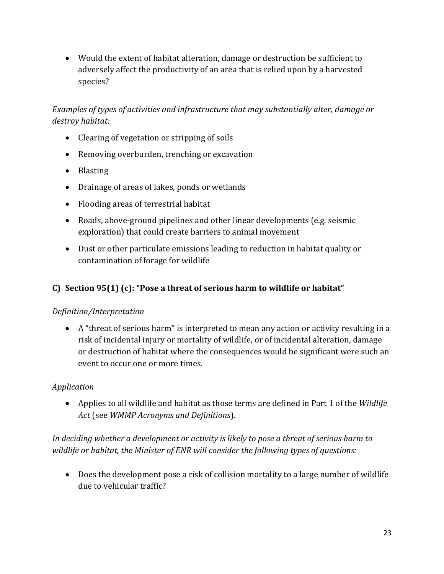• Would the extent of habitat alteration, damage or destruction be sufficient to adversely affect the productivity of an area that is relied upon by a harvested species?

*Examples of types of activities and infrastructure that may substantially alter, damage or destroy habitat:*

- Clearing of vegetation or stripping of soils
- Removing overburden, trenching or excavation
- Blasting
- Drainage of areas of lakes, ponds or wetlands
- Flooding areas of terrestrial habitat
- Roads, above-ground pipelines and other linear developments (e.g. seismic exploration) that could create barriers to animal movement
- Dust or other particulate emissions leading to reduction in habitat quality or contamination of forage for wildlife

## **C) Section 95(1) (c): "Pose a threat of serious harm to wildlife or habitat"**

## *Definition/Interpretation*

• A "threat of serious harm" is interpreted to mean any action or activity resulting in a risk of incidental injury or mortality of wildlife, or of incidental alteration, damage or destruction of habitat where the consequences would be significant were such an event to occur one or more times.

## *Application*

• Applies to all wildlife and habitat as those terms are defined in Part 1 of the *Wildlife Act* (see *WMMP Acronyms and Definitions*).

## *In deciding whether a development or activity is likely to pose a threat of serious harm to wildlife or habitat, the Minister of ENR will consider the following types of questions:*

• Does the development pose a risk of collision mortality to a large number of wildlife due to vehicular traffic?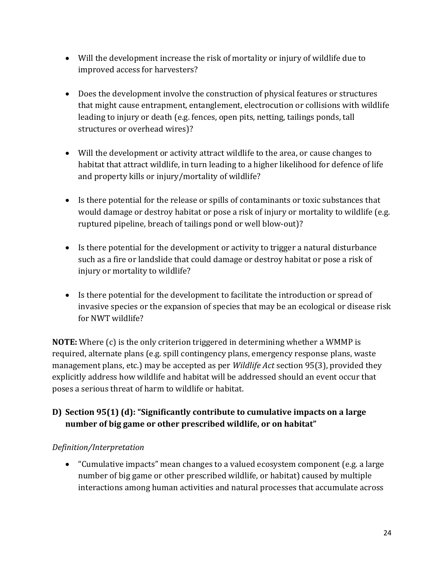- Will the development increase the risk of mortality or injury of wildlife due to improved access for harvesters?
- Does the development involve the construction of physical features or structures that might cause entrapment, entanglement, electrocution or collisions with wildlife leading to injury or death (e.g. fences, open pits, netting, tailings ponds, tall structures or overhead wires)?
- Will the development or activity attract wildlife to the area, or cause changes to habitat that attract wildlife, in turn leading to a higher likelihood for defence of life and property kills or injury/mortality of wildlife?
- Is there potential for the release or spills of contaminants or toxic substances that would damage or destroy habitat or pose a risk of injury or mortality to wildlife (e.g. ruptured pipeline, breach of tailings pond or well blow-out)?
- Is there potential for the development or activity to trigger a natural disturbance such as a fire or landslide that could damage or destroy habitat or pose a risk of injury or mortality to wildlife?
- Is there potential for the development to facilitate the introduction or spread of invasive species or the expansion of species that may be an ecological or disease risk for NWT wildlife?

**NOTE:** Where (c) is the only criterion triggered in determining whether a WMMP is required, alternate plans (e.g. spill contingency plans, emergency response plans, waste management plans, etc.) may be accepted as per *Wildlife Act* section 95(3), provided they explicitly address how wildlife and habitat will be addressed should an event occur that poses a serious threat of harm to wildlife or habitat.

## **D) Section 95(1) (d): "Significantly contribute to cumulative impacts on a large number of big game or other prescribed wildlife, or on habitat"**

## *Definition/Interpretation*

• "Cumulative impacts" mean changes to a valued ecosystem component (e.g. a large number of big game or other prescribed wildlife, or habitat) caused by multiple interactions among human activities and natural processes that accumulate across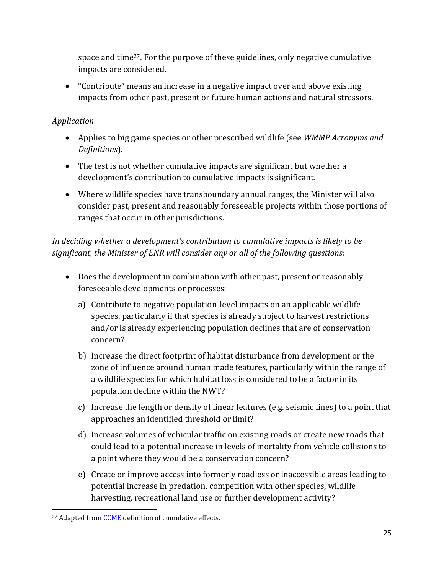space and time27. For the purpose of these guidelines, only negative cumulative impacts are considered.

• "Contribute" means an increase in a negative impact over and above existing impacts from other past, present or future human actions and natural stressors.

## *Application*

- Applies to big game species or other prescribed wildlife (see *WMMP Acronyms and Definitions*).
- The test is not whether cumulative impacts are significant but whether a development's contribution to cumulative impacts is significant.
- Where wildlife species have transboundary annual ranges, the Minister will also consider past, present and reasonably foreseeable projects within those portions of ranges that occur in other jurisdictions.

*In deciding whether a development's contribution to cumulative impacts is likely to be significant, the Minister of ENR will consider any or all of the following questions:*

- Does the development in combination with other past, present or reasonably foreseeable developments or processes:
	- a) Contribute to negative population-level impacts on an applicable wildlife species, particularly if that species is already subject to harvest restrictions and/or is already experiencing population declines that are of conservation concern?
	- b) Increase the direct footprint of habitat disturbance from development or the zone of influence around human made features, particularly within the range of a wildlife species for which habitat loss is considered to be a factor in its population decline within the NWT?
	- c) Increase the length or density of linear features (e.g. seismic lines) to a point that approaches an identified threshold or limit?
	- d) Increase volumes of vehicular traffic on existing roads or create new roads that could lead to a potential increase in levels of mortality from vehicle collisions to a point where they would be a conservation concern?
	- e) Create or improve access into formerly roadless or inaccessible areas leading to potential increase in predation, competition with other species, wildlife harvesting, recreational land use or further development activity?

<sup>&</sup>lt;sup>27</sup> Adapted from **CCME** definition of cumulative effects.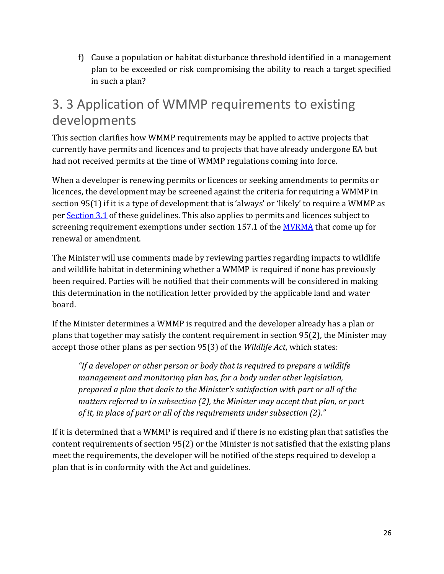f) Cause a population or habitat disturbance threshold identified in a management plan to be exceeded or risk compromising the ability to reach a target specified in such a plan?

# <span id="page-25-0"></span>3. 3 Application of WMMP requirements to existing developments

This section clarifies how WMMP requirements may be applied to active projects that currently have permits and licences and to projects that have already undergone EA but had not received permits at the time of WMMP regulations coming into force.

When a developer is renewing permits or licences or seeking amendments to permits or licences, the development may be screened against the criteria for requiring a WMMP in section 95(1) if it is a type of development that is 'always' or 'likely' to require a WMMP as per [Section 3.1](#page-12-2) of these guidelines. This also applies to permits and licences subject to screening requirement exemptions under section 157.1 of the **MVRMA** that come up for renewal or amendment.

The Minister will use comments made by reviewing parties regarding impacts to wildlife and wildlife habitat in determining whether a WMMP is required if none has previously been required. Parties will be notified that their comments will be considered in making this determination in the notification letter provided by the applicable land and water board.

If the Minister determines a WMMP is required and the developer already has a plan or plans that together may satisfy the content requirement in section 95(2), the Minister may accept those other plans as per section 95(3) of the *Wildlife Act*, which states:

*"If a developer or other person or body that is required to prepare a wildlife management and monitoring plan has, for a body under other legislation, prepared a plan that deals to the Minister's satisfaction with part or all of the matters referred to in subsection (2), the Minister may accept that plan, or part of it, in place of part or all of the requirements under subsection (2)."*

If it is determined that a WMMP is required and if there is no existing plan that satisfies the content requirements of section 95(2) or the Minister is not satisfied that the existing plans meet the requirements, the developer will be notified of the steps required to develop a plan that is in conformity with the Act and guidelines.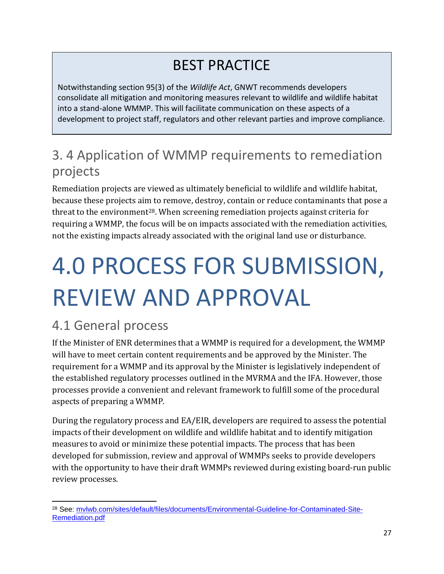# BEST PRACTICE

Notwithstanding section 95(3) of the *Wildlife Act*, GNWT recommends developers consolidate all mitigation and monitoring measures relevant to wildlife and wildlife habitat into a stand-alone WMMP. This will facilitate communication on these aspects of a development to project staff, regulators and other relevant parties and improve compliance.

# <span id="page-26-0"></span>3. 4 Application of WMMP requirements to remediation projects

Remediation projects are viewed as ultimately beneficial to wildlife and wildlife habitat, because these projects aim to remove, destroy, contain or reduce contaminants that pose a threat to the environment<sup>28</sup>. When screening remediation projects against criteria for requiring a WMMP, the focus will be on impacts associated with the remediation activities, not the existing impacts already associated with the original land use or disturbance.

# <span id="page-26-1"></span>4.0 PROCESS FOR SUBMISSION, REVIEW AND APPROVAL

# <span id="page-26-2"></span>4.1 General process

If the Minister of ENR determines that a WMMP is required for a development, the WMMP will have to meet certain content requirements and be approved by the Minister. The requirement for a WMMP and its approval by the Minister is legislatively independent of the established regulatory processes outlined in the MVRMA and the IFA. However, those processes provide a convenient and relevant framework to fulfill some of the procedural aspects of preparing a WMMP.

During the regulatory process and EA/EIR, developers are required to assess the potential impacts of their development on wildlife and wildlife habitat and to identify mitigation measures to avoid or minimize these potential impacts. The process that has been developed for submission, review and approval of WMMPs seeks to provide developers with the opportunity to have their draft WMMPs reviewed during existing board-run public review processes.

<sup>28</sup> See: [mvlwb.com/sites/default/files/documents/Environmental-Guideline-for-Contaminated-Site-](https://mvlwb.com/sites/default/files/documents/Environmental-Guideline-for-Contaminated-Site-Remediation.pdf)[Remediation.pdf](https://mvlwb.com/sites/default/files/documents/Environmental-Guideline-for-Contaminated-Site-Remediation.pdf)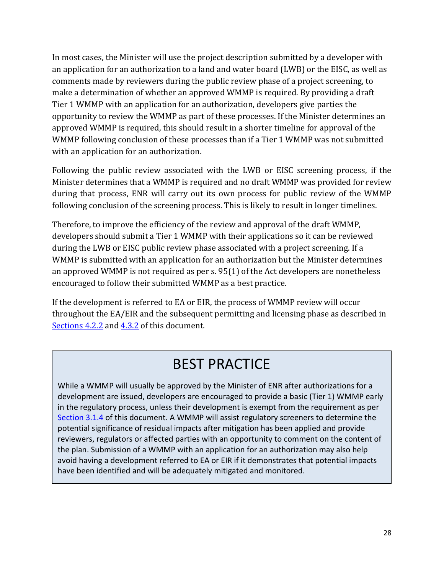In most cases, the Minister will use the project description submitted by a developer with an application for an authorization to a land and water board (LWB) or the EISC, as well as comments made by reviewers during the public review phase of a project screening, to make a determination of whether an approved WMMP is required. By providing a draft Tier 1 WMMP with an application for an authorization, developers give parties the opportunity to review the WMMP as part of these processes. If the Minister determines an approved WMMP is required, this should result in a shorter timeline for approval of the WMMP following conclusion of these processes than if a Tier 1 WMMP was not submitted with an application for an authorization.

Following the public review associated with the LWB or EISC screening process, if the Minister determines that a WMMP is required and no draft WMMP was provided for review during that process, ENR will carry out its own process for public review of the WMMP following conclusion of the screening process. This is likely to result in longer timelines.

Therefore, to improve the efficiency of the review and approval of the draft WMMP, developers should submit a Tier 1 WMMP with their applications so it can be reviewed during the LWB or EISC public review phase associated with a project screening. If a WMMP is submitted with an application for an authorization but the Minister determines an approved WMMP is not required as per s. 95(1) of the Act developers are nonetheless encouraged to follow their submitted WMMP as a best practice.

If the development is referred to EA or EIR, the process of WMMP review will occur throughout the EA/EIR and the subsequent permitting and licensing phase as described in [Sections 4.2.2](#page-30-0) an[d 4.3.2](#page-34-0) of this document.

# BEST PRACTICE

While a WMMP will usually be approved by the Minister of ENR after authorizations for a development are issued, developers are encouraged to provide a basic (Tier 1) WMMP early in the regulatory process, unless their development is exempt from the requirement as per Section 3.1.4 of this document. A WMMP will assist regulatory screeners to determine the potential significance of residual impacts after mitigation has been applied and provide reviewers, regulators or affected parties with an opportunity to comment on the content of the plan. Submission of a WMMP with an application for an authorization may also help avoid having a development referred to EA or EIR if it demonstrates that potential impacts have been identified and will be adequately mitigated and monitored.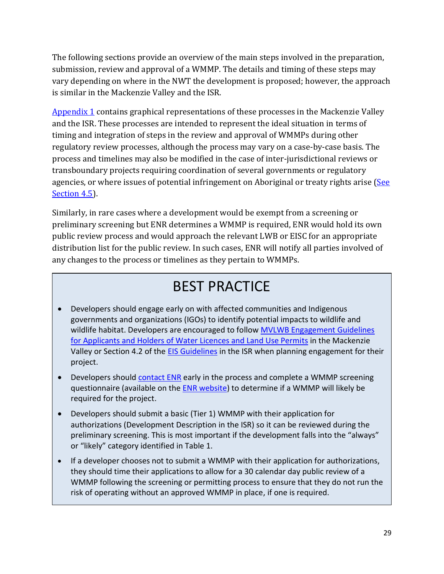The following sections provide an overview of the main steps involved in the preparation, submission, review and approval of a WMMP. The details and timing of these steps may vary depending on where in the NWT the development is proposed; however, the approach is similar in the Mackenzie Valley and the ISR.

[Appendix 1](#page-45-0) contains graphical representations of these processes in the Mackenzie Valley and the ISR. These processes are intended to represent the ideal situation in terms of timing and integration of steps in the review and approval of WMMPs during other regulatory review processes, although the process may vary on a case-by-case basis. The process and timelines may also be modified in the case of inter-jurisdictional reviews or transboundary projects requiring coordination of several governments or regulatory agencies, or where issues of potential infringement on Aboriginal or treaty rights arise (See [Section 4.5\)](#page-35-1).

Similarly, in rare cases where a development would be exempt from a screening or preliminary screening but ENR determines a WMMP is required, ENR would hold its own public review process and would approach the relevant LWB or EISC for an appropriate distribution list for the public review. In such cases, ENR will notify all parties involved of any changes to the process or timelines as they pertain to WMMPs.

# BEST PRACTICE

- Developers should engage early on with affected communities and Indigenous governments and organizations (IGOs) to identify potential impacts to wildlife and wildlife habitat. Developers are encouraged to follow MVLWB Engagement Guidelines [for Applicants and Holders of Water Licences and Land Use Permits](https://mvlwb.com/sites/default/files/documents/wg/MVLWB%20Engagement%20Guidelines%20for%20Holders%20of%20LUPs%20and%20WLs%20-%20Oct%202014.pdf) in the Mackenzie Valley or Section 4.2 of the [EIS Guidelines](http://www.screeningcommittee.ca/pdf/eisc_guidelines.pdf) in the ISR when planning engagement for their project.
- Developers should [contact ENR](http://diims.pws.gov.nt.ca/yk32vapp06pdav/nodes/135532318/%20wmmp%40gov.nt.ca) early in the process and complete a WMMP screening questionnaire (available on the **ENR website**) to determine if a WMMP will likely be required for the project.
- Developers should submit a basic (Tier 1) WMMP with their application for authorizations (Development Description in the ISR) so it can be reviewed during the preliminary screening. This is most important if the development falls into the "always" or "likely" category identified in Table 1.
- If a developer chooses not to submit a WMMP with their application for authorizations, they should time their applications to allow for a 30 calendar day public review of a WMMP following the screening or permitting process to ensure that they do not run the risk of operating without an approved WMMP in place, if one is required.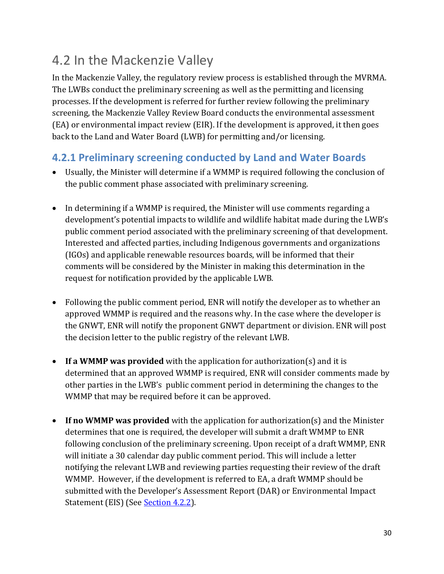# <span id="page-29-0"></span>4.2 In the Mackenzie Valley

In the Mackenzie Valley, the regulatory review process is established through the MVRMA. The LWBs conduct the preliminary screening as well as the permitting and licensing processes. If the development is referred for further review following the preliminary screening, the Mackenzie Valley Review Board conducts the environmental assessment (EA) or environmental impact review (EIR). If the development is approved, it then goes back to the Land and Water Board (LWB) for permitting and/or licensing.

## <span id="page-29-1"></span>**4.2.1 Preliminary screening conducted by Land and Water Boards**

- Usually, the Minister will determine if a WMMP is required following the conclusion of the public comment phase associated with preliminary screening.
- In determining if a WMMP is required, the Minister will use comments regarding a development's potential impacts to wildlife and wildlife habitat made during the LWB's public comment period associated with the preliminary screening of that development. Interested and affected parties, including Indigenous governments and organizations (IGOs) and applicable renewable resources boards, will be informed that their comments will be considered by the Minister in making this determination in the request for notification provided by the applicable LWB.
- Following the public comment period, ENR will notify the developer as to whether an approved WMMP is required and the reasons why. In the case where the developer is the GNWT, ENR will notify the proponent GNWT department or division. ENR will post the decision letter to the public registry of the relevant LWB.
- **If a WMMP was provided** with the application for authorization(s) and it is determined that an approved WMMP is required, ENR will consider comments made by other parties in the LWB's public comment period in determining the changes to the WMMP that may be required before it can be approved.
- **If no WMMP was provided** with the application for authorization(s) and the Minister determines that one is required, the developer will submit a draft WMMP to ENR following conclusion of the preliminary screening. Upon receipt of a draft WMMP, ENR will initiate a 30 calendar day public comment period. This will include a letter notifying the relevant LWB and reviewing parties requesting their review of the draft WMMP. However, if the development is referred to EA, a draft WMMP should be submitted with the Developer's Assessment Report (DAR) or Environmental Impact Statement (EIS) (See **Section 4.2.2**).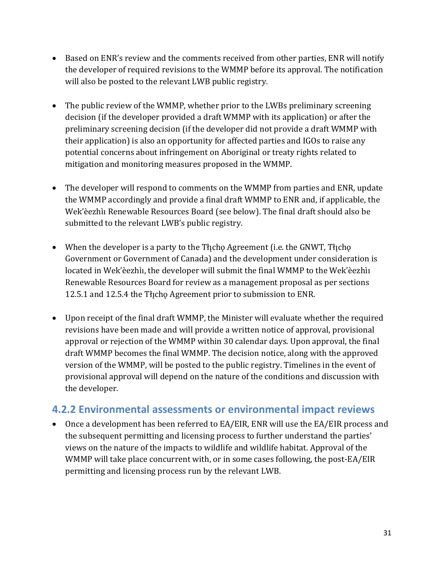- Based on ENR's review and the comments received from other parties, ENR will notify the developer of required revisions to the WMMP before its approval. The notification will also be posted to the relevant LWB public registry.
- The public review of the WMMP, whether prior to the LWBs preliminary screening decision (if the developer provided a draft WMMP with its application) or after the preliminary screening decision (if the developer did not provide a draft WMMP with their application) is also an opportunity for affected parties and IGOs to raise any potential concerns about infringement on Aboriginal or treaty rights related to mitigation and monitoring measures proposed in the WMMP.
- The developer will respond to comments on the WMMP from parties and ENR, update the WMMP accordingly and provide a final draft WMMP to ENR and, if applicable, the Wek'èezhìı Renewable Resources Board (see below). The final draft should also be submitted to the relevant LWB's public registry.
- When the developer is a party to the Tłicho Agreement (i.e. the GNWT, Tłicho Government or Government of Canada) and the development under consideration is located in Wek'èezhìı, the developer will submit the final WMMP to the Wek'èezhìı Renewable Resources Board for review as a management proposal as per sections 12.5.1 and 12.5.4 the Thicho Agreement prior to submission to ENR.
- Upon receipt of the final draft WMMP, the Minister will evaluate whether the required revisions have been made and will provide a written notice of approval, provisional approval or rejection of the WMMP within 30 calendar days. Upon approval, the final draft WMMP becomes the final WMMP. The decision notice, along with the approved version of the WMMP, will be posted to the public registry. Timelines in the event of provisional approval will depend on the nature of the conditions and discussion with the developer.

## <span id="page-30-0"></span>**4.2.2 Environmental assessments or environmental impact reviews**

• Once a development has been referred to EA/EIR, ENR will use the EA/EIR process and the subsequent permitting and licensing process to further understand the parties' views on the nature of the impacts to wildlife and wildlife habitat. Approval of the WMMP will take place concurrent with, or in some cases following, the post-EA/EIR permitting and licensing process run by the relevant LWB.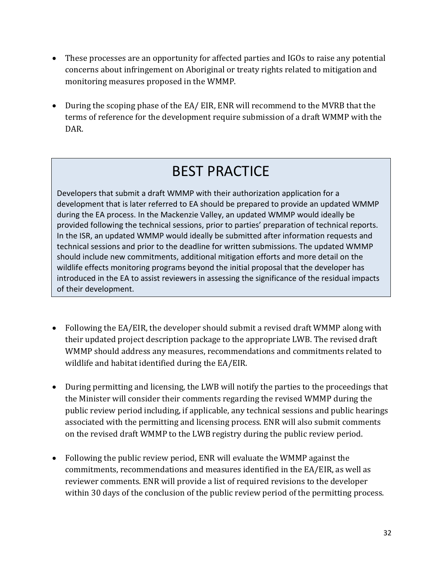- These processes are an opportunity for affected parties and IGOs to raise any potential concerns about infringement on Aboriginal or treaty rights related to mitigation and monitoring measures proposed in the WMMP.
- During the scoping phase of the EA/ EIR, ENR will recommend to the MVRB that the terms of reference for the development require submission of a draft WMMP with the DAR.

# BEST PRACTICE

Developers that submit a draft WMMP with their authorization application for a development that is later referred to EA should be prepared to provide an updated WMMP during the EA process. In the Mackenzie Valley, an updated WMMP would ideally be provided following the technical sessions, prior to parties' preparation of technical reports. In the ISR, an updated WMMP would ideally be submitted after information requests and technical sessions and prior to the deadline for written submissions. The updated WMMP should include new commitments, additional mitigation efforts and more detail on the wildlife effects monitoring programs beyond the initial proposal that the developer has introduced in the EA to assist reviewers in assessing the significance of the residual impacts of their development.

- Following the EA/EIR, the developer should submit a revised draft WMMP along with their updated project description package to the appropriate LWB. The revised draft WMMP should address any measures, recommendations and commitments related to wildlife and habitat identified during the EA/EIR.
- During permitting and licensing, the LWB will notify the parties to the proceedings that the Minister will consider their comments regarding the revised WMMP during the public review period including, if applicable, any technical sessions and public hearings associated with the permitting and licensing process. ENR will also submit comments on the revised draft WMMP to the LWB registry during the public review period.
- Following the public review period, ENR will evaluate the WMMP against the commitments, recommendations and measures identified in the EA/EIR, as well as reviewer comments. ENR will provide a list of required revisions to the developer within 30 days of the conclusion of the public review period of the permitting process.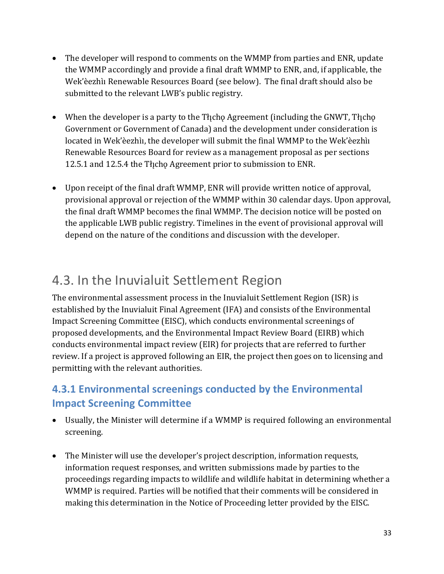- The developer will respond to comments on the WMMP from parties and ENR, update the WMMP accordingly and provide a final draft WMMP to ENR, and, if applicable, the Wek'èezhìı Renewable Resources Board (see below). The final draft should also be submitted to the relevant LWB's public registry.
- When the developer is a party to the Tłicho Agreement (including the GNWT, Tłicho Government or Government of Canada) and the development under consideration is located in Wek'èezhìı, the developer will submit the final WMMP to the Wek'èezhìı Renewable Resources Board for review as a management proposal as per sections 12.5.1 and 12.5.4 the Theop Agreement prior to submission to ENR.
- Upon receipt of the final draft WMMP, ENR will provide written notice of approval, provisional approval or rejection of the WMMP within 30 calendar days. Upon approval, the final draft WMMP becomes the final WMMP. The decision notice will be posted on the applicable LWB public registry. Timelines in the event of provisional approval will depend on the nature of the conditions and discussion with the developer.

# <span id="page-32-0"></span>4.3. In the Inuvialuit Settlement Region

The environmental assessment process in the Inuvialuit Settlement Region (ISR) is established by the Inuvialuit Final Agreement (IFA) and consists of the Environmental Impact Screening Committee (EISC), which conducts environmental screenings of proposed developments, and the Environmental Impact Review Board (EIRB) which conducts environmental impact review (EIR) for projects that are referred to further review. If a project is approved following an EIR, the project then goes on to licensing and permitting with the relevant authorities.

# <span id="page-32-1"></span>**4.3.1 Environmental screenings conducted by the Environmental Impact Screening Committee**

- Usually, the Minister will determine if a WMMP is required following an environmental screening.
- The Minister will use the developer's project description, information requests, information request responses, and written submissions made by parties to the proceedings regarding impacts to wildlife and wildlife habitat in determining whether a WMMP is required. Parties will be notified that their comments will be considered in making this determination in the Notice of Proceeding letter provided by the EISC.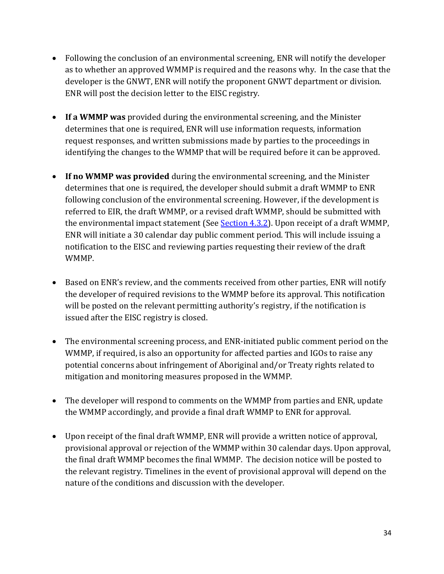- Following the conclusion of an environmental screening, ENR will notify the developer as to whether an approved WMMP is required and the reasons why. In the case that the developer is the GNWT, ENR will notify the proponent GNWT department or division. ENR will post the decision letter to the EISC registry.
- **If a WMMP was** provided during the environmental screening, and the Minister determines that one is required, ENR will use information requests, information request responses, and written submissions made by parties to the proceedings in identifying the changes to the WMMP that will be required before it can be approved.
- **If no WMMP was provided** during the environmental screening, and the Minister determines that one is required, the developer should submit a draft WMMP to ENR following conclusion of the environmental screening. However, if the development is referred to EIR, the draft WMMP, or a revised draft WMMP, should be submitted with the environmental impact statement (See [Section 4.3.2\)](#page-34-0). Upon receipt of a draft WMMP, ENR will initiate a 30 calendar day public comment period. This will include issuing a notification to the EISC and reviewing parties requesting their review of the draft WMMP.
- Based on ENR's review, and the comments received from other parties, ENR will notify the developer of required revisions to the WMMP before its approval. This notification will be posted on the relevant permitting authority's registry, if the notification is issued after the EISC registry is closed.
- The environmental screening process, and ENR-initiated public comment period on the WMMP, if required, is also an opportunity for affected parties and IGOs to raise any potential concerns about infringement of Aboriginal and/or Treaty rights related to mitigation and monitoring measures proposed in the WMMP.
- The developer will respond to comments on the WMMP from parties and ENR, update the WMMP accordingly, and provide a final draft WMMP to ENR for approval.
- Upon receipt of the final draft WMMP, ENR will provide a written notice of approval, provisional approval or rejection of the WMMP within 30 calendar days. Upon approval, the final draft WMMP becomes the final WMMP. The decision notice will be posted to the relevant registry. Timelines in the event of provisional approval will depend on the nature of the conditions and discussion with the developer.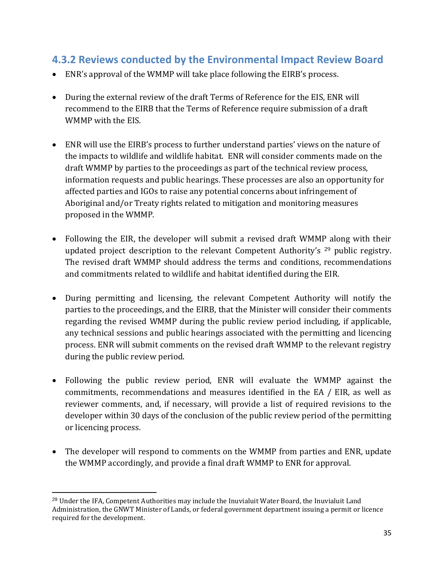## <span id="page-34-0"></span>**4.3.2 Reviews conducted by the Environmental Impact Review Board**

- ENR's approval of the WMMP will take place following the EIRB's process.
- During the external review of the draft Terms of Reference for the EIS, ENR will recommend to the EIRB that the Terms of Reference require submission of a draft WMMP with the EIS.
- ENR will use the EIRB's process to further understand parties' views on the nature of the impacts to wildlife and wildlife habitat. ENR will consider comments made on the draft WMMP by parties to the proceedings as part of the technical review process, information requests and public hearings. These processes are also an opportunity for affected parties and IGOs to raise any potential concerns about infringement of Aboriginal and/or Treaty rights related to mitigation and monitoring measures proposed in the WMMP.
- Following the EIR, the developer will submit a revised draft WMMP along with their updated project description to the relevant Competent Authority's <sup>29</sup> public registry. The revised draft WMMP should address the terms and conditions, recommendations and commitments related to wildlife and habitat identified during the EIR.
- During permitting and licensing, the relevant Competent Authority will notify the parties to the proceedings, and the EIRB, that the Minister will consider their comments regarding the revised WMMP during the public review period including, if applicable, any technical sessions and public hearings associated with the permitting and licencing process. ENR will submit comments on the revised draft WMMP to the relevant registry during the public review period.
- Following the public review period, ENR will evaluate the WMMP against the commitments, recommendations and measures identified in the EA / EIR, as well as reviewer comments, and, if necessary, will provide a list of required revisions to the developer within 30 days of the conclusion of the public review period of the permitting or licencing process.
- The developer will respond to comments on the WMMP from parties and ENR, update the WMMP accordingly, and provide a final draft WMMP to ENR for approval.

<sup>29</sup> Under the IFA, Competent Authorities may include the Inuvialuit Water Board, the Inuvialuit Land Administration, the GNWT Minister of Lands, or federal government department issuing a permit or licence required for the development.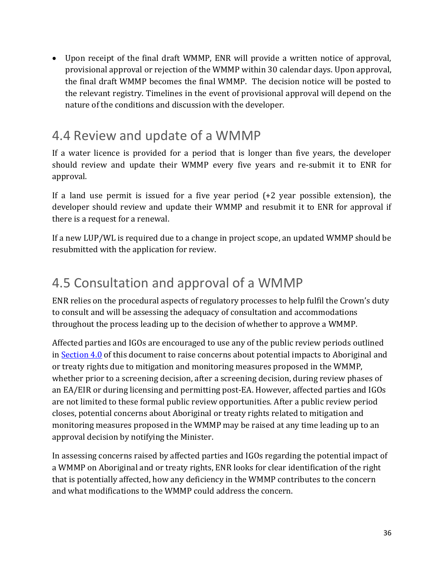• Upon receipt of the final draft WMMP, ENR will provide a written notice of approval, provisional approval or rejection of the WMMP within 30 calendar days. Upon approval, the final draft WMMP becomes the final WMMP. The decision notice will be posted to the relevant registry. Timelines in the event of provisional approval will depend on the nature of the conditions and discussion with the developer.

# <span id="page-35-0"></span>4.4 Review and update of a WMMP

If a water licence is provided for a period that is longer than five years, the developer should review and update their WMMP every five years and re-submit it to ENR for approval.

If a land use permit is issued for a five year period (+2 year possible extension), the developer should review and update their WMMP and resubmit it to ENR for approval if there is a request for a renewal.

If a new LUP/WL is required due to a change in project scope, an updated WMMP should be resubmitted with the application for review.

# <span id="page-35-1"></span>4.5 Consultation and approval of a WMMP

ENR relies on the procedural aspects of regulatory processes to help fulfil the Crown's duty to consult and will be assessing the adequacy of consultation and accommodations throughout the process leading up to the decision of whether to approve a WMMP.

Affected parties and IGOs are encouraged to use any of the public review periods outlined i[n Section 4.0](#page-26-1) of this document to raise concerns about potential impacts to Aboriginal and or treaty rights due to mitigation and monitoring measures proposed in the WMMP, whether prior to a screening decision, after a screening decision, during review phases of an EA/EIR or during licensing and permitting post-EA. However, affected parties and IGOs are not limited to these formal public review opportunities. After a public review period closes, potential concerns about Aboriginal or treaty rights related to mitigation and monitoring measures proposed in the WMMP may be raised at any time leading up to an approval decision by notifying the Minister.

In assessing concerns raised by affected parties and IGOs regarding the potential impact of a WMMP on Aboriginal and or treaty rights, ENR looks for clear identification of the right that is potentially affected, how any deficiency in the WMMP contributes to the concern and what modifications to the WMMP could address the concern.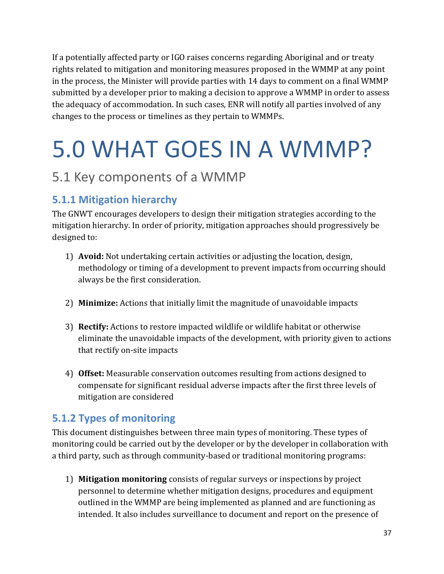If a potentially affected party or IGO raises concerns regarding Aboriginal and or treaty rights related to mitigation and monitoring measures proposed in the WMMP at any point in the process, the Minister will provide parties with 14 days to comment on a final WMMP submitted by a developer prior to making a decision to approve a WMMP in order to assess the adequacy of accommodation. In such cases, ENR will notify all parties involved of any changes to the process or timelines as they pertain to WMMPs.

# <span id="page-36-0"></span>5.0 WHAT GOES IN A WMMP?

# <span id="page-36-1"></span>5.1 Key components of a WMMP

# <span id="page-36-2"></span>**5.1.1 Mitigation hierarchy**

The GNWT encourages developers to design their mitigation strategies according to the mitigation hierarchy. In order of priority, mitigation approaches should progressively be designed to:

- 1) **Avoid:** Not undertaking certain activities or adjusting the location, design, methodology or timing of a development to prevent impacts from occurring should always be the first consideration.
- 2) **Minimize:** Actions that initially limit the magnitude of unavoidable impacts
- 3) **Rectify:** Actions to restore impacted wildlife or wildlife habitat or otherwise eliminate the unavoidable impacts of the development, with priority given to actions that rectify on-site impacts
- 4) **Offset:** Measurable conservation outcomes resulting from actions designed to compensate for significant residual adverse impacts after the first three levels of mitigation are considered

## <span id="page-36-3"></span>**5.1.2 Types of monitoring**

This document distinguishes between three main types of monitoring. These types of monitoring could be carried out by the developer or by the developer in collaboration with a third party, such as through community-based or traditional monitoring programs:

1) **Mitigation monitoring** consists of regular surveys or inspections by project personnel to determine whether mitigation designs, procedures and equipment outlined in the WMMP are being implemented as planned and are functioning as intended. It also includes surveillance to document and report on the presence of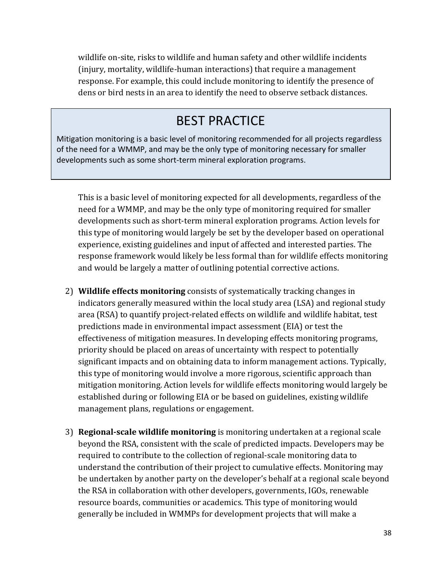wildlife on-site, risks to wildlife and human safety and other wildlife incidents (injury, mortality, wildlife-human interactions) that require a management response. For example, this could include monitoring to identify the presence of dens or bird nests in an area to identify the need to observe setback distances.

# BEST PRACTICE

Mitigation monitoring is a basic level of monitoring recommended for all projects regardless of the need for a WMMP, and may be the only type of monitoring necessary for smaller developments such as some short-term mineral exploration programs.

This is a basic level of monitoring expected for all developments, regardless of the need for a WMMP, and may be the only type of monitoring required for smaller developments such as short-term mineral exploration programs. Action levels for this type of monitoring would largely be set by the developer based on operational experience, existing guidelines and input of affected and interested parties. The response framework would likely be less formal than for wildlife effects monitoring and would be largely a matter of outlining potential corrective actions.

- 2) **Wildlife effects monitoring** consists of systematically tracking changes in indicators generally measured within the local study area (LSA) and regional study area (RSA) to quantify project-related effects on wildlife and wildlife habitat, test predictions made in environmental impact assessment (EIA) or test the effectiveness of mitigation measures. In developing effects monitoring programs, priority should be placed on areas of uncertainty with respect to potentially significant impacts and on obtaining data to inform management actions. Typically, this type of monitoring would involve a more rigorous, scientific approach than mitigation monitoring. Action levels for wildlife effects monitoring would largely be established during or following EIA or be based on guidelines, existing wildlife management plans, regulations or engagement.
- 3) **Regional-scale wildlife monitoring** is monitoring undertaken at a regional scale beyond the RSA, consistent with the scale of predicted impacts. Developers may be required to contribute to the collection of regional-scale monitoring data to understand the contribution of their project to cumulative effects. Monitoring may be undertaken by another party on the developer's behalf at a regional scale beyond the RSA in collaboration with other developers, governments, IGOs, renewable resource boards, communities or academics. This type of monitoring would generally be included in WMMPs for development projects that will make a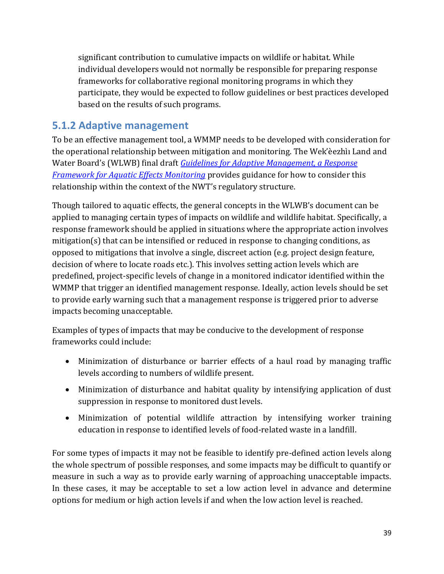significant contribution to cumulative impacts on wildlife or habitat. While individual developers would not normally be responsible for preparing response frameworks for collaborative regional monitoring programs in which they participate, they would be expected to follow guidelines or best practices developed based on the results of such programs.

## <span id="page-38-0"></span>**5.1.2 Adaptive management**

To be an effective management tool, a WMMP needs to be developed with consideration for the operational relationship between mitigation and monitoring. The Wek'èezhìı Land and Water Board's (WLWB) final draft *[Guidelines for Adaptive Management, a Response](https://wlwb.ca/sites/default/files/documents/Final-Draft-Response-Framework-for-Aquatic-Effects-Monitoring.pdf)  [Framework for Aquatic Effects Monitoring](https://wlwb.ca/sites/default/files/documents/Final-Draft-Response-Framework-for-Aquatic-Effects-Monitoring.pdf)* provides guidance for how to consider this relationship within the context of the NWT's regulatory structure.

Though tailored to aquatic effects, the general concepts in the WLWB's document can be applied to managing certain types of impacts on wildlife and wildlife habitat. Specifically, a response framework should be applied in situations where the appropriate action involves mitigation(s) that can be intensified or reduced in response to changing conditions, as opposed to mitigations that involve a single, discreet action (e.g. project design feature, decision of where to locate roads etc.). This involves setting action levels which are predefined, project-specific levels of change in a monitored indicator identified within the WMMP that trigger an identified management response. Ideally, action levels should be set to provide early warning such that a management response is triggered prior to adverse impacts becoming unacceptable.

Examples of types of impacts that may be conducive to the development of response frameworks could include:

- Minimization of disturbance or barrier effects of a haul road by managing traffic levels according to numbers of wildlife present.
- Minimization of disturbance and habitat quality by intensifying application of dust suppression in response to monitored dust levels.
- Minimization of potential wildlife attraction by intensifying worker training education in response to identified levels of food-related waste in a landfill.

For some types of impacts it may not be feasible to identify pre-defined action levels along the whole spectrum of possible responses, and some impacts may be difficult to quantify or measure in such a way as to provide early warning of approaching unacceptable impacts. In these cases, it may be acceptable to set a low action level in advance and determine options for medium or high action levels if and when the low action level is reached.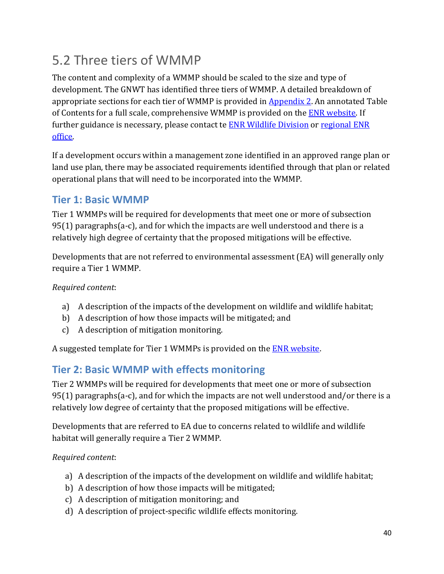# <span id="page-39-0"></span>5.2 Three tiers of WMMP

The content and complexity of a WMMP should be scaled to the size and type of development. The GNWT has identified three tiers of WMMP. A detailed breakdown of appropriate sections for each tier of WMMP is provided in [Appendix 2](#page-45-0). An annotated Table of Contents for a full scale, comprehensive WMMP is provided on the **ENR** website. If further guidance is necessary, please contact te [ENR Wildlife Division](http://diims.pws.gov.nt.ca/yk32vapp06pdav/nodes/135532318/WMMP%40gov.nt.ca) or [regional ENR](https://www.enr.gov.nt.ca/en/regional-offices)  [office.](https://www.enr.gov.nt.ca/en/regional-offices)

If a development occurs within a management zone identified in an approved range plan or land use plan, there may be associated requirements identified through that plan or related operational plans that will need to be incorporated into the WMMP.

## <span id="page-39-1"></span>**Tier 1: Basic WMMP**

Tier 1 WMMPs will be required for developments that meet one or more of subsection  $95(1)$  paragraphs(a-c), and for which the impacts are well understood and there is a relatively high degree of certainty that the proposed mitigations will be effective.

Developments that are not referred to environmental assessment (EA) will generally only require a Tier 1 WMMP.

## *Required content*:

- a) A description of the impacts of the development on wildlife and wildlife habitat;
- b) A description of how those impacts will be mitigated; and
- c) A description of mitigation monitoring.

A suggested template for Tier 1 WMMPs is provided on the **ENR** website.

## <span id="page-39-2"></span>**Tier 2: Basic WMMP with effects monitoring**

Tier 2 WMMPs will be required for developments that meet one or more of subsection 95(1) paragraphs(a-c), and for which the impacts are not well understood and/or there is a relatively low degree of certainty that the proposed mitigations will be effective.

Developments that are referred to EA due to concerns related to wildlife and wildlife habitat will generally require a Tier 2 WMMP.

## *Required content*:

- a) A description of the impacts of the development on wildlife and wildlife habitat;
- b) A description of how those impacts will be mitigated;
- c) A description of mitigation monitoring; and
- d) A description of project-specific wildlife effects monitoring.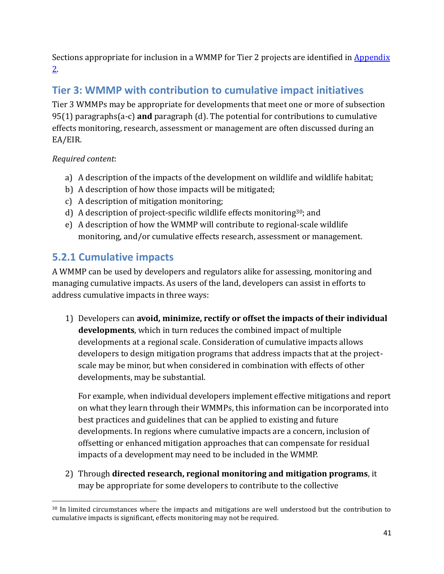Sections appropriate for inclusion in a WMMP for Tier 2 projects are identified in **Appendix** [2.](#page-50-0)

# <span id="page-40-0"></span>**Tier 3: WMMP with contribution to cumulative impact initiatives**

Tier 3 WMMPs may be appropriate for developments that meet one or more of subsection 95(1) paragraphs(a-c) **and** paragraph (d). The potential for contributions to cumulative effects monitoring, research, assessment or management are often discussed during an EA/EIR.

## *Required content*:

- a) A description of the impacts of the development on wildlife and wildlife habitat;
- b) A description of how those impacts will be mitigated;
- c) A description of mitigation monitoring;
- d) A description of project-specific wildlife effects monitoring30; and
- e) A description of how the WMMP will contribute to regional-scale wildlife monitoring, and/or cumulative effects research, assessment or management.

# <span id="page-40-1"></span>**5.2.1 Cumulative impacts**

A WMMP can be used by developers and regulators alike for assessing, monitoring and managing cumulative impacts. As users of the land, developers can assist in efforts to address cumulative impacts in three ways:

1) Developers can **avoid, minimize, rectify or offset the impacts of their individual developments**, which in turn reduces the combined impact of multiple developments at a regional scale. Consideration of cumulative impacts allows developers to design mitigation programs that address impacts that at the projectscale may be minor, but when considered in combination with effects of other developments, may be substantial.

For example, when individual developers implement effective mitigations and report on what they learn through their WMMPs, this information can be incorporated into best practices and guidelines that can be applied to existing and future developments. In regions where cumulative impacts are a concern, inclusion of offsetting or enhanced mitigation approaches that can compensate for residual impacts of a development may need to be included in the WMMP.

2) Through **directed research, regional monitoring and mitigation programs**, it may be appropriate for some developers to contribute to the collective

<sup>&</sup>lt;sup>30</sup> In limited circumstances where the impacts and mitigations are well understood but the contribution to cumulative impacts is significant, effects monitoring may not be required.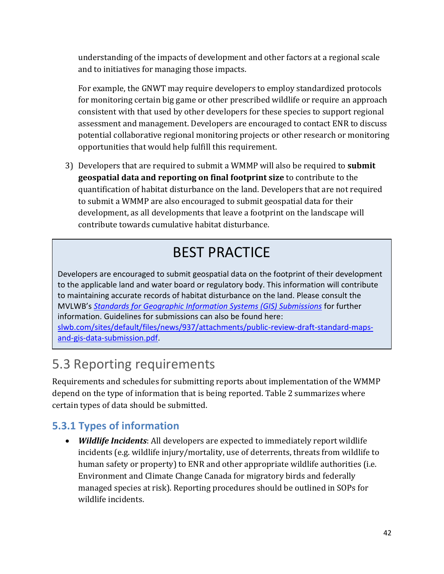understanding of the impacts of development and other factors at a regional scale and to initiatives for managing those impacts.

For example, the GNWT may require developers to employ standardized protocols for monitoring certain big game or other prescribed wildlife or require an approach consistent with that used by other developers for these species to support regional assessment and management. Developers are encouraged to contact ENR to discuss potential collaborative regional monitoring projects or other research or monitoring opportunities that would help fulfill this requirement.

3) Developers that are required to submit a WMMP will also be required to **submit geospatial data and reporting on final footprint size** to contribute to the quantification of habitat disturbance on the land. Developers that are not required to submit a WMMP are also encouraged to submit geospatial data for their development, as all developments that leave a footprint on the landscape will contribute towards cumulative habitat disturbance.

# BEST PRACTICE

Developers are encouraged to submit geospatial data on the footprint of their development to the applicable land and water board or regulatory body. This information will contribute to maintaining accurate records of habitat disturbance on the land. Please consult the MVLWB's *[Standards for Geographic Information Systems \(GIS\) Submissions](https://mvlwb.com/sites/default/files/documents/Standards-for-Geographic-Information-System-GIS-Submissions-FINAL.pdf)* for further information. Guidelines for submissions can also be found here[:](https://slwb.com/sites/default/files/news/937/attachments/public-review-draft-standard-maps-and-gis-data-submission.pdf) [slwb.com/sites/default/files/news/937/attachments/public-review-draft-standard-maps](https://slwb.com/sites/default/files/news/937/attachments/public-review-draft-standard-maps-and-gis-data-submission.pdf)[and-gis-data-submission.pdf.](https://slwb.com/sites/default/files/news/937/attachments/public-review-draft-standard-maps-and-gis-data-submission.pdf)

# <span id="page-41-0"></span>5.3 Reporting requirements

Requirements and schedules for submitting reports about implementation of the WMMP depend on the type of information that is being reported. Table 2 summarizes where certain types of data should be submitted.

# <span id="page-41-1"></span>**5.3.1 Types of information**

• *Wildlife Incidents*: All developers are expected to immediately report wildlife incidents (e.g. wildlife injury/mortality, use of deterrents, threats from wildlife to human safety or property) to ENR and other appropriate wildlife authorities (i.e. Environment and Climate Change Canada for migratory birds and federally managed species at risk). Reporting procedures should be outlined in SOPs for wildlife incidents.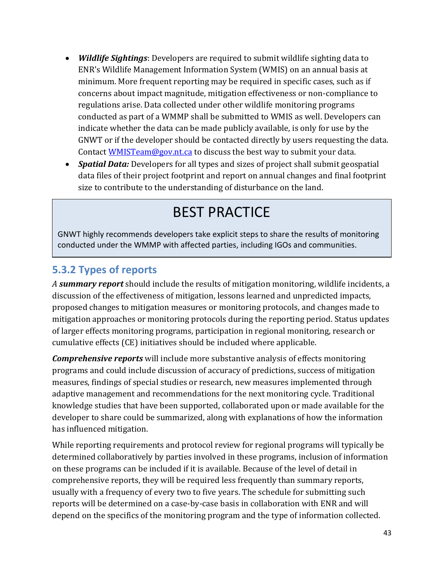- *Wildlife Sightings*: Developers are required to submit wildlife sighting data to ENR's Wildlife Management Information System (WMIS) on an annual basis at minimum. More frequent reporting may be required in specific cases, such as if concerns about impact magnitude, mitigation effectiveness or non-compliance to regulations arise. Data collected under other wildlife monitoring programs conducted as part of a WMMP shall be submitted to WMIS as well. Developers can indicate whether the data can be made publicly available, is only for use by the GNWT or if the developer should be contacted directly by users requesting the data. Contac[t WMISTeam@gov.nt.ca](http://diims.pws.gov.nt.ca/yk32vapp06pdav/nodes/62540887/mailto_WMISTeam%40gov.nt.ca_subject%3DProviding%20Wildife%20Observations%20to%20WMIS) to discuss the best way to submit your data.
- *Spatial Data:* Developers for all types and sizes of project shall submit geospatial data files of their project footprint and report on annual changes and final footprint size to contribute to the understanding of disturbance on the land.

# BEST PRACTICE

GNWT highly recommends developers take explicit steps to share the results of monitoring conducted under the WMMP with affected parties, including IGOs and communities.

## <span id="page-42-0"></span>**5.3.2 Types of reports**

*A summary report* should include the results of mitigation monitoring, wildlife incidents, a discussion of the effectiveness of mitigation, lessons learned and unpredicted impacts, proposed changes to mitigation measures or monitoring protocols, and changes made to mitigation approaches or monitoring protocols during the reporting period. Status updates of larger effects monitoring programs, participation in regional monitoring, research or cumulative effects (CE) initiatives should be included where applicable.

*Comprehensive reports* will include more substantive analysis of effects monitoring programs and could include discussion of accuracy of predictions, success of mitigation measures, findings of special studies or research, new measures implemented through adaptive management and recommendations for the next monitoring cycle. Traditional knowledge studies that have been supported, collaborated upon or made available for the developer to share could be summarized, along with explanations of how the information has influenced mitigation.

While reporting requirements and protocol review for regional programs will typically be determined collaboratively by parties involved in these programs, inclusion of information on these programs can be included if it is available. Because of the level of detail in comprehensive reports, they will be required less frequently than summary reports, usually with a frequency of every two to five years. The schedule for submitting such reports will be determined on a case-by-case basis in collaboration with ENR and will depend on the specifics of the monitoring program and the type of information collected.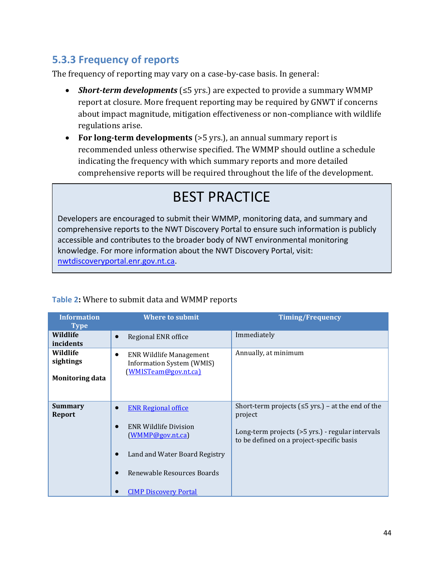# <span id="page-43-0"></span>**5.3.3 Frequency of reports**

The frequency of reporting may vary on a case-by-case basis. In general:

- *Short-term developments* (≤5 yrs.) are expected to provide a summary WMMP report at closure. More frequent reporting may be required by GNWT if concerns about impact magnitude, mitigation effectiveness or non-compliance with wildlife regulations arise.
- **For long-term developments** (>5 yrs.), an annual summary report is recommended unless otherwise specified. The WMMP should outline a schedule indicating the frequency with which summary reports and more detailed comprehensive reports will be required throughout the life of the development.

# BEST PRACTICE

Developers are encouraged to submit their WMMP, monitoring data, and summary and comprehensive reports to the NWT Discovery Portal to ensure such information is publicly accessible and contributes to the broader body of NWT environmental monitoring knowledge. For more information about the NWT Discovery Portal, visit: [nwtdiscoveryportal.enr.gov.nt.ca.](http://nwtdiscoveryportal.enr.gov.nt.ca/geoportal/catalog/main/home.page)

| <b>Information</b><br><b>Type</b>               | Where to submit                                                                                                                                                                           | <b>Timing/Frequency</b>                                                                                                                                              |
|-------------------------------------------------|-------------------------------------------------------------------------------------------------------------------------------------------------------------------------------------------|----------------------------------------------------------------------------------------------------------------------------------------------------------------------|
| Wildlife<br>incidents                           | Regional ENR office                                                                                                                                                                       | Immediately                                                                                                                                                          |
| Wildlife<br>sightings<br><b>Monitoring data</b> | <b>ENR Wildlife Management</b><br><b>Information System (WMIS)</b><br>(WMISTeam@gov.nt.ca)                                                                                                | Annually, at minimum                                                                                                                                                 |
| <b>Summary</b><br>Report                        | <b>ENR Regional office</b><br>$\bullet$<br><b>ENR Wildlife Division</b><br>(WMMP@govnt.ca)<br>Land and Water Board Registry<br>Renewable Resources Boards<br><b>CIMP Discovery Portal</b> | Short-term projects ( $\leq$ 5 yrs.) – at the end of the<br>project<br>Long-term projects (>5 yrs.) - regular intervals<br>to be defined on a project-specific basis |

## **Table 2:** Where to submit data and WMMP reports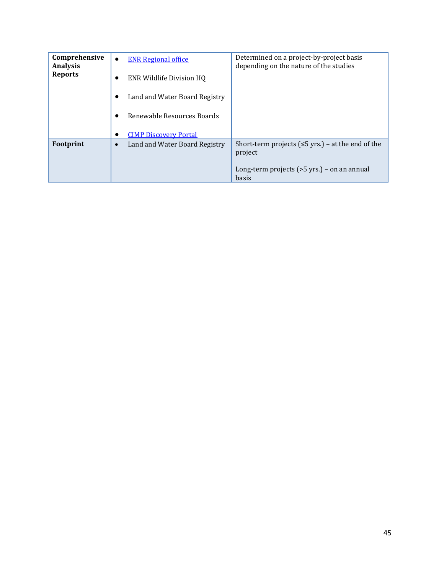| Comprehensive<br><b>Analysis</b> | <b>ENR Regional office</b><br>$\bullet$    | Determined on a project-by-project basis<br>depending on the nature of the studies |
|----------------------------------|--------------------------------------------|------------------------------------------------------------------------------------|
| <b>Reports</b>                   | <b>ENR Wildlife Division HQ</b>            |                                                                                    |
|                                  | Land and Water Board Registry              |                                                                                    |
|                                  | Renewable Resources Boards                 |                                                                                    |
|                                  | <b>CIMP Discovery Portal</b>               |                                                                                    |
| Footprint                        | Land and Water Board Registry<br>$\bullet$ | Short-term projects ( $\leq$ 5 yrs.) – at the end of the<br>project                |
|                                  |                                            | Long-term projects $($ >5 yrs.) – on an annual<br>basis                            |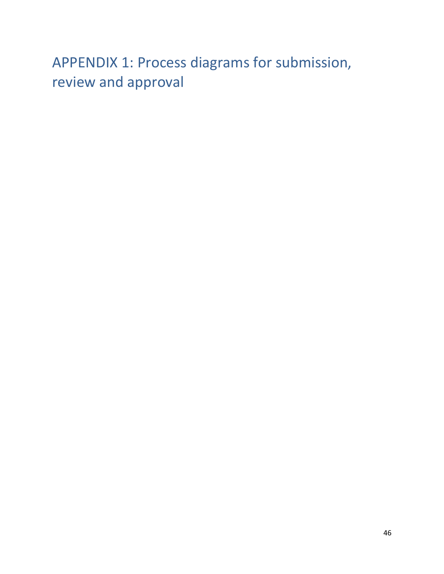# <span id="page-45-0"></span>APPENDIX 1: Process diagrams for submission, review and approval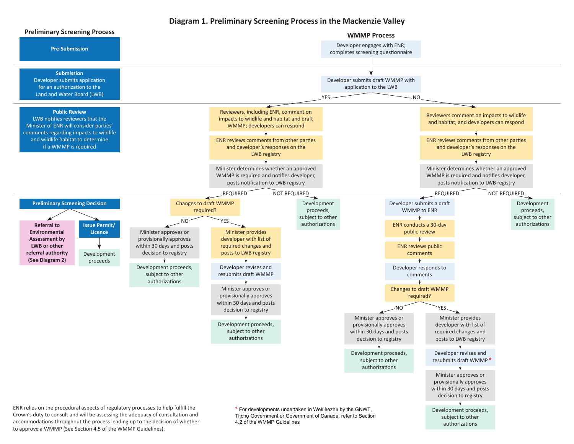#### **Diagram 1. Preliminary Screening Process in the Mackenzie Valley**



to approve a WMMP (See Section 4.5 of the WMMP Guidelines).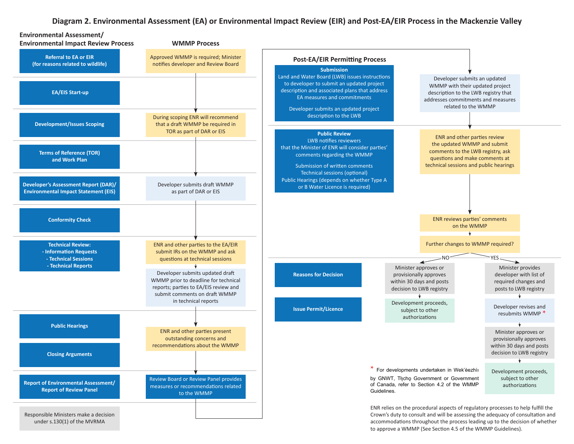#### **Diagram 2. Environmental Assessment (EA) or Environmental Impact Review (EIR) and Post-EA/EIR Process in the Mackenzie Valley**



under s.130(1) of the MVRMA

accommodations throughout the process leading up to the decision of whether to approve a WMMP (See Section 4.5 of the WMMP Guidelines).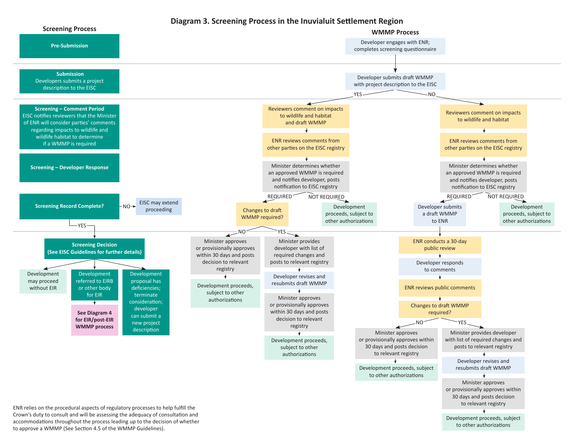#### **Diagram 3. Screening Process in the Inuvialuit Settlement Region**



to approve a WMMP (See Section 4.5 of the WMMP Guidelines).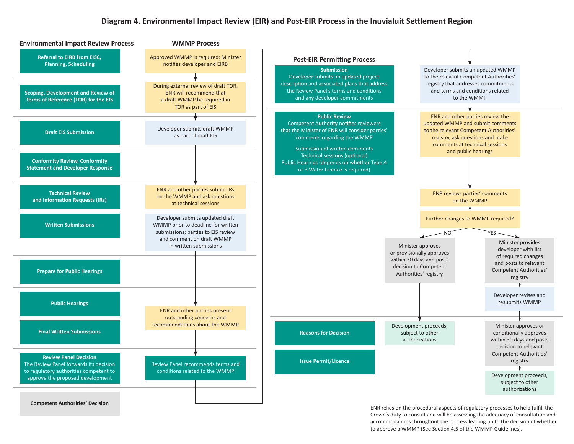#### **Diagram 4. Environmental Impact Review (EIR) and Post-EIR Process in the Inuvialuit Settlement Region**



ENR relies on the procedural aspects of regulatory processes to help fulfill the Crown's duty to consult and will be assessing the adequacy of consultation and accommodations throughout the process leading up to the decision of whether to approve a WMMP (See Section 4.5 of the WMMP Guidelines).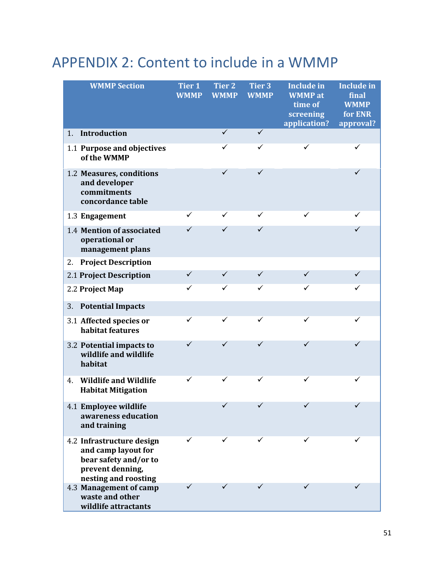# <span id="page-50-0"></span>APPENDIX 2: Content to include in a WMMP

| <b>WMMP Section</b>                                                                                                   | <b>Tier 1</b><br><b>WMMP</b> | <b>Tier 2</b><br><b>WMMP</b> | <b>Tier 3</b><br><b>WMMP</b> | <b>Include in</b><br><b>WMMP</b> at<br>time of<br>screening<br>application? | <b>Include in</b><br>final<br><b>WMMP</b><br>for ENR<br>approval? |
|-----------------------------------------------------------------------------------------------------------------------|------------------------------|------------------------------|------------------------------|-----------------------------------------------------------------------------|-------------------------------------------------------------------|
| Introduction<br>1 <sub>1</sub>                                                                                        |                              | ✓                            | $\checkmark$                 |                                                                             |                                                                   |
| 1.1 Purpose and objectives<br>of the WMMP                                                                             |                              | ✓                            | ✓                            | ✓                                                                           | ✓                                                                 |
| 1.2 Measures, conditions<br>and developer<br>commitments<br>concordance table                                         |                              | ✓                            | ✓                            |                                                                             | ✓                                                                 |
| 1.3 Engagement                                                                                                        | ✓                            | ✓                            | ✓                            | ✓                                                                           |                                                                   |
| 1.4 Mention of associated<br>operational or<br>management plans                                                       | ✓                            | ✓                            | $\checkmark$                 |                                                                             | ✓                                                                 |
| <b>Project Description</b><br>2.                                                                                      |                              |                              |                              |                                                                             |                                                                   |
| 2.1 Project Description                                                                                               | $\checkmark$                 | ✓                            | ✓                            | ✓                                                                           | ✓                                                                 |
| 2.2 Project Map                                                                                                       | ✓                            | ✓                            | ✓                            | ✓                                                                           | ✓                                                                 |
| <b>Potential Impacts</b><br>3.                                                                                        |                              |                              |                              |                                                                             |                                                                   |
| 3.1 Affected species or<br>habitat features                                                                           | ✓                            | ✓                            | ✓                            | ✓                                                                           | ✓                                                                 |
| 3.2 Potential impacts to<br>wildlife and wildlife<br>habitat                                                          | ✓                            | ✓                            | ✓                            | ✓                                                                           | ✓                                                                 |
| <b>Wildlife and Wildlife</b><br>4.<br><b>Habitat Mitigation</b>                                                       | ✓                            |                              | ✓                            | ✓                                                                           |                                                                   |
| 4.1 Employee wildlife<br>awareness education<br>and training                                                          |                              |                              |                              |                                                                             |                                                                   |
| 4.2 Infrastructure design<br>and camp layout for<br>bear safety and/or to<br>prevent denning,<br>nesting and roosting |                              |                              |                              |                                                                             |                                                                   |
| 4.3 Management of camp<br>waste and other<br>wildlife attractants                                                     |                              |                              |                              |                                                                             |                                                                   |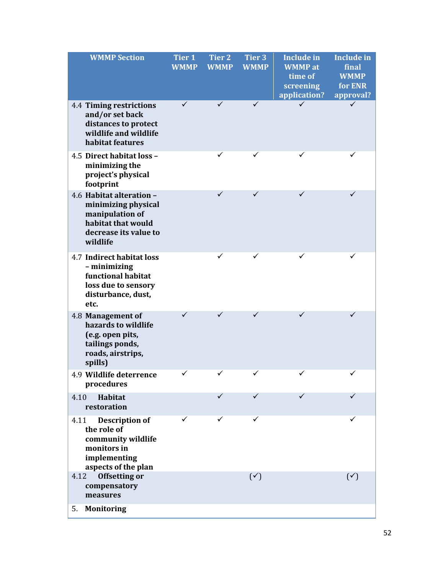| <b>WMMP Section</b>                                                                                                           | Tier <sub>1</sub><br><b>WMMP</b> | <b>Tier 2</b><br><b>WMMP</b> | <b>Tier 3</b><br><b>WMMP</b> | <b>Include in</b><br><b>WMMP</b> at<br>time of<br>screening<br>application? | <b>Include in</b><br>final<br><b>WMMP</b><br>for ENR<br>approval? |
|-------------------------------------------------------------------------------------------------------------------------------|----------------------------------|------------------------------|------------------------------|-----------------------------------------------------------------------------|-------------------------------------------------------------------|
| 4.4 Timing restrictions<br>and/or set back<br>distances to protect<br>wildlife and wildlife<br>habitat features               |                                  |                              |                              |                                                                             |                                                                   |
| 4.5 Direct habitat loss -<br>minimizing the<br>project's physical<br>footprint                                                |                                  | $\checkmark$                 |                              | $\checkmark$                                                                |                                                                   |
| 4.6 Habitat alteration -<br>minimizing physical<br>manipulation of<br>habitat that would<br>decrease its value to<br>wildlife |                                  | ✓                            | ✓                            | ✓                                                                           |                                                                   |
| <b>4.7 Indirect habitat loss</b><br>- minimizing<br>functional habitat<br>loss due to sensory<br>disturbance, dust,<br>etc.   |                                  |                              |                              |                                                                             |                                                                   |
| 4.8 Management of<br>hazards to wildlife<br>(e.g. open pits,<br>tailings ponds,<br>roads, airstrips,<br>spills)               | ✓                                | ✓                            | ✓                            | ✓                                                                           | ✓                                                                 |
| 4.9 Wildlife deterrence<br>procedures                                                                                         |                                  |                              |                              | ✓                                                                           |                                                                   |
| <b>Habitat</b><br>4.10<br>restoration                                                                                         |                                  |                              |                              | ✓                                                                           |                                                                   |
| <b>Description of</b><br>4.11<br>the role of<br>community wildlife<br>monitors in<br>implementing<br>aspects of the plan      |                                  |                              |                              |                                                                             |                                                                   |
| <b>Offsetting or</b><br>4.12<br>compensatory<br>measures                                                                      |                                  |                              | $(\check{ }')$               |                                                                             | $(\checkmark)$                                                    |
| <b>Monitoring</b><br>5.                                                                                                       |                                  |                              |                              |                                                                             |                                                                   |